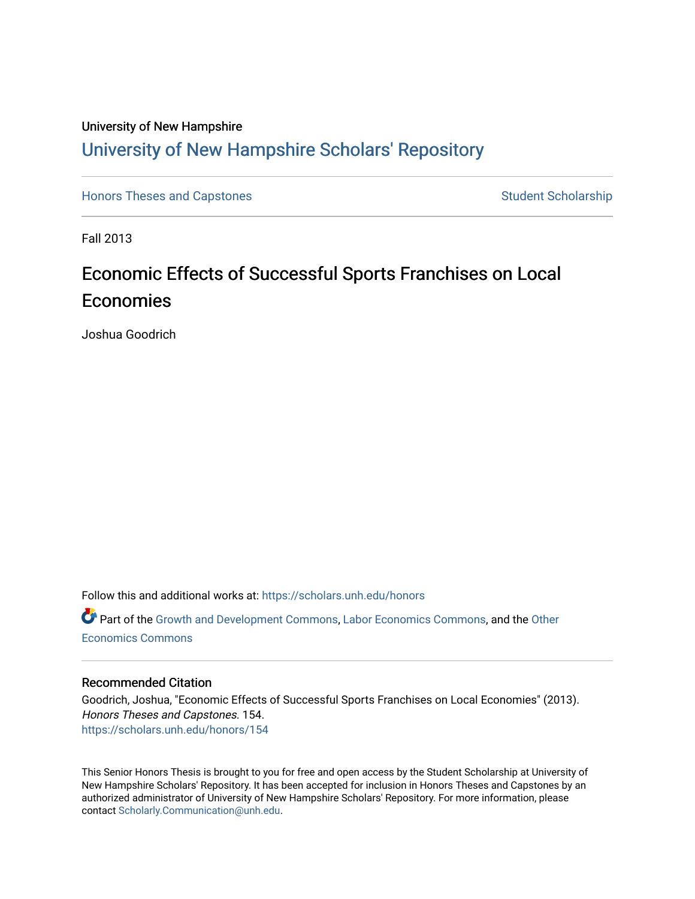# University of New Hampshire [University of New Hampshire Scholars' Repository](https://scholars.unh.edu/)

[Honors Theses and Capstones](https://scholars.unh.edu/honors) [Student Scholarship](https://scholars.unh.edu/student) Student Scholarship

Fall 2013

# Economic Effects of Successful Sports Franchises on Local Economies

Joshua Goodrich

Follow this and additional works at: [https://scholars.unh.edu/honors](https://scholars.unh.edu/honors?utm_source=scholars.unh.edu%2Fhonors%2F154&utm_medium=PDF&utm_campaign=PDFCoverPages) 

Part of the [Growth and Development Commons,](http://network.bepress.com/hgg/discipline/346?utm_source=scholars.unh.edu%2Fhonors%2F154&utm_medium=PDF&utm_campaign=PDFCoverPages) [Labor Economics Commons](http://network.bepress.com/hgg/discipline/349?utm_source=scholars.unh.edu%2Fhonors%2F154&utm_medium=PDF&utm_campaign=PDFCoverPages), and the [Other](http://network.bepress.com/hgg/discipline/353?utm_source=scholars.unh.edu%2Fhonors%2F154&utm_medium=PDF&utm_campaign=PDFCoverPages)  [Economics Commons](http://network.bepress.com/hgg/discipline/353?utm_source=scholars.unh.edu%2Fhonors%2F154&utm_medium=PDF&utm_campaign=PDFCoverPages) 

### Recommended Citation

Goodrich, Joshua, "Economic Effects of Successful Sports Franchises on Local Economies" (2013). Honors Theses and Capstones. 154. [https://scholars.unh.edu/honors/154](https://scholars.unh.edu/honors/154?utm_source=scholars.unh.edu%2Fhonors%2F154&utm_medium=PDF&utm_campaign=PDFCoverPages) 

This Senior Honors Thesis is brought to you for free and open access by the Student Scholarship at University of New Hampshire Scholars' Repository. It has been accepted for inclusion in Honors Theses and Capstones by an authorized administrator of University of New Hampshire Scholars' Repository. For more information, please contact [Scholarly.Communication@unh.edu.](mailto:Scholarly.Communication@unh.edu)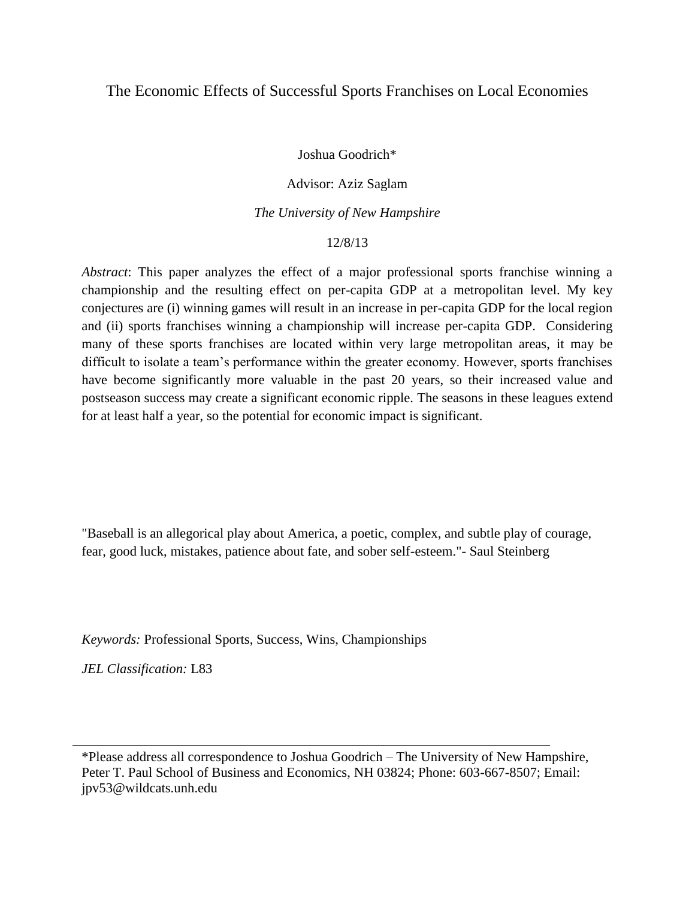### The Economic Effects of Successful Sports Franchises on Local Economies

Joshua Goodrich\*

### Advisor: Aziz Saglam

#### *The University of New Hampshire*

#### 12/8/13

*Abstract*: This paper analyzes the effect of a major professional sports franchise winning a championship and the resulting effect on per-capita GDP at a metropolitan level. My key conjectures are (i) winning games will result in an increase in per-capita GDP for the local region and (ii) sports franchises winning a championship will increase per-capita GDP. Considering many of these sports franchises are located within very large metropolitan areas, it may be difficult to isolate a team's performance within the greater economy. However, sports franchises have become significantly more valuable in the past 20 years, so their increased value and postseason success may create a significant economic ripple. The seasons in these leagues extend for at least half a year, so the potential for economic impact is significant.

"Baseball is an allegorical play about America, a poetic, complex, and subtle play of courage, fear, good luck, mistakes, patience about fate, and sober self-esteem."- Saul Steinberg

*Keywords:* Professional Sports, Success, Wins, Championships

*JEL Classification:* L83

\*Please address all correspondence to Joshua Goodrich – The University of New Hampshire, Peter T. Paul School of Business and Economics, NH 03824; Phone: 603-667-8507; Email: jpv53@wildcats.unh.edu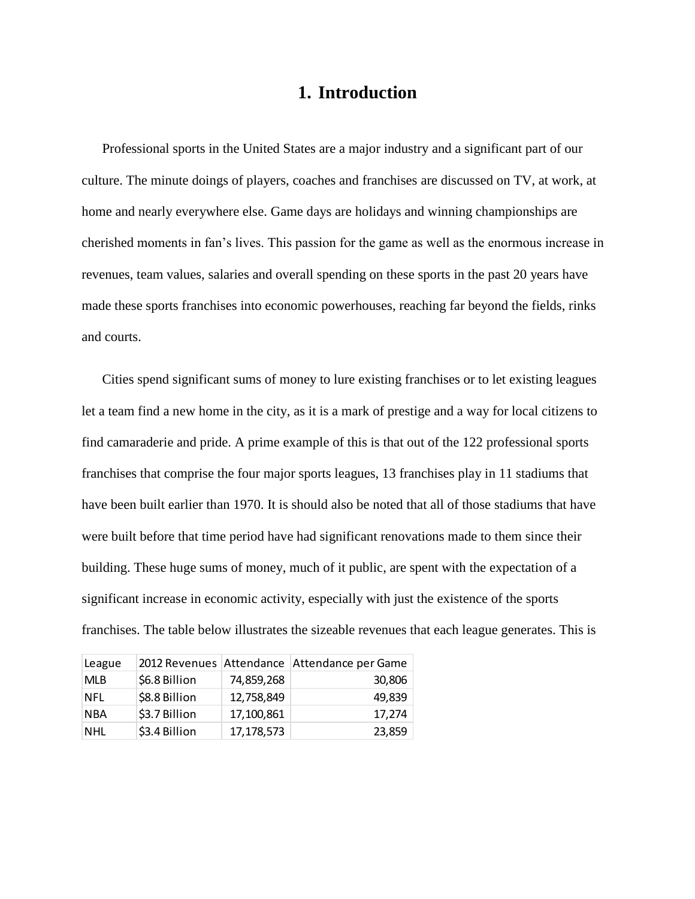## **1. Introduction**

Professional sports in the United States are a major industry and a significant part of our culture. The minute doings of players, coaches and franchises are discussed on TV, at work, at home and nearly everywhere else. Game days are holidays and winning championships are cherished moments in fan's lives. This passion for the game as well as the enormous increase in revenues, team values, salaries and overall spending on these sports in the past 20 years have made these sports franchises into economic powerhouses, reaching far beyond the fields, rinks and courts.

Cities spend significant sums of money to lure existing franchises or to let existing leagues let a team find a new home in the city, as it is a mark of prestige and a way for local citizens to find camaraderie and pride. A prime example of this is that out of the 122 professional sports franchises that comprise the four major sports leagues, 13 franchises play in 11 stadiums that have been built earlier than 1970. It is should also be noted that all of those stadiums that have were built before that time period have had significant renovations made to them since their building. These huge sums of money, much of it public, are spent with the expectation of a significant increase in economic activity, especially with just the existence of the sports franchises. The table below illustrates the sizeable revenues that each league generates. This is

| League     |               |              | 2012 Revenues Attendance Attendance per Game |
|------------|---------------|--------------|----------------------------------------------|
| <b>MLB</b> | \$6.8 Billion | 74,859,268   | 30,806                                       |
| <b>NFL</b> | \$8.8 Billion | 12,758,849   | 49,839                                       |
| <b>NBA</b> | \$3.7 Billion | 17,100,861   | 17,274                                       |
| <b>NHL</b> | \$3.4 Billion | 17, 178, 573 | 23,859                                       |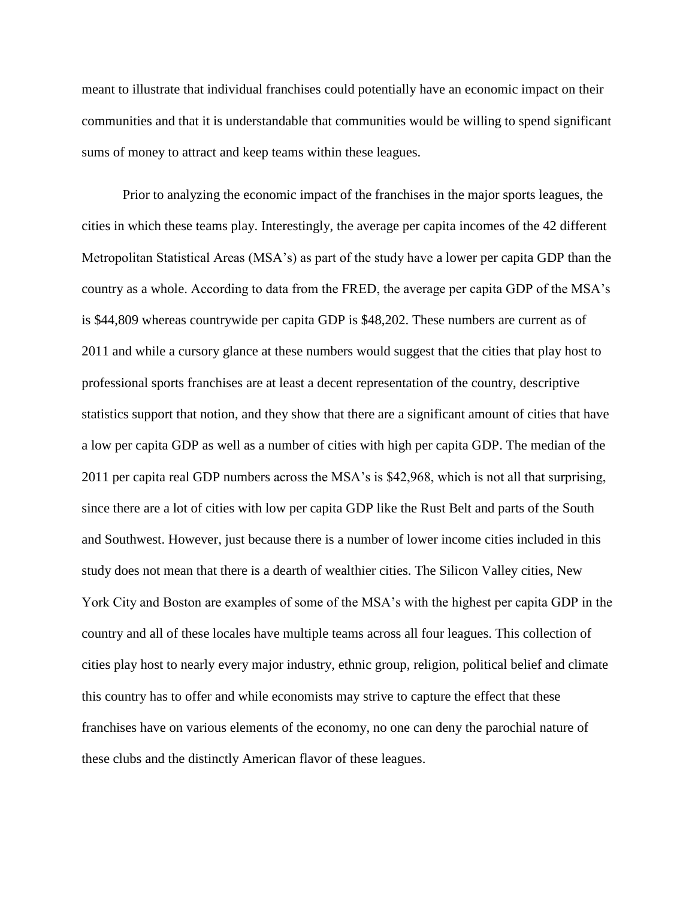meant to illustrate that individual franchises could potentially have an economic impact on their communities and that it is understandable that communities would be willing to spend significant sums of money to attract and keep teams within these leagues.

Prior to analyzing the economic impact of the franchises in the major sports leagues, the cities in which these teams play. Interestingly, the average per capita incomes of the 42 different Metropolitan Statistical Areas (MSA's) as part of the study have a lower per capita GDP than the country as a whole. According to data from the FRED, the average per capita GDP of the MSA's is \$44,809 whereas countrywide per capita GDP is \$48,202. These numbers are current as of 2011 and while a cursory glance at these numbers would suggest that the cities that play host to professional sports franchises are at least a decent representation of the country, descriptive statistics support that notion, and they show that there are a significant amount of cities that have a low per capita GDP as well as a number of cities with high per capita GDP. The median of the 2011 per capita real GDP numbers across the MSA's is \$42,968, which is not all that surprising, since there are a lot of cities with low per capita GDP like the Rust Belt and parts of the South and Southwest. However, just because there is a number of lower income cities included in this study does not mean that there is a dearth of wealthier cities. The Silicon Valley cities, New York City and Boston are examples of some of the MSA's with the highest per capita GDP in the country and all of these locales have multiple teams across all four leagues. This collection of cities play host to nearly every major industry, ethnic group, religion, political belief and climate this country has to offer and while economists may strive to capture the effect that these franchises have on various elements of the economy, no one can deny the parochial nature of these clubs and the distinctly American flavor of these leagues.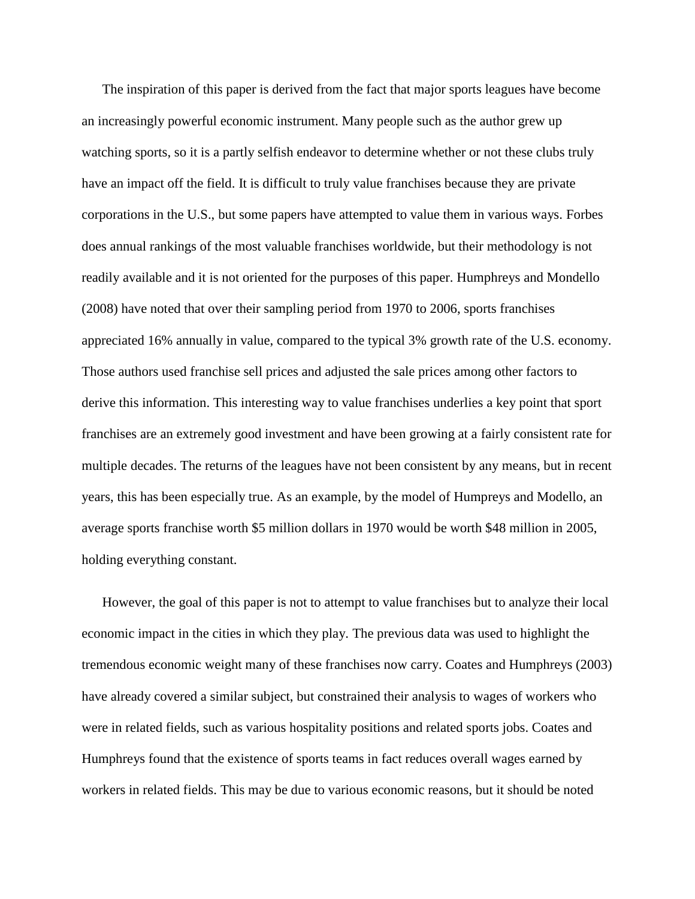The inspiration of this paper is derived from the fact that major sports leagues have become an increasingly powerful economic instrument. Many people such as the author grew up watching sports, so it is a partly selfish endeavor to determine whether or not these clubs truly have an impact off the field. It is difficult to truly value franchises because they are private corporations in the U.S., but some papers have attempted to value them in various ways. Forbes does annual rankings of the most valuable franchises worldwide, but their methodology is not readily available and it is not oriented for the purposes of this paper. Humphreys and Mondello (2008) have noted that over their sampling period from 1970 to 2006, sports franchises appreciated 16% annually in value, compared to the typical 3% growth rate of the U.S. economy. Those authors used franchise sell prices and adjusted the sale prices among other factors to derive this information. This interesting way to value franchises underlies a key point that sport franchises are an extremely good investment and have been growing at a fairly consistent rate for multiple decades. The returns of the leagues have not been consistent by any means, but in recent years, this has been especially true. As an example, by the model of Humpreys and Modello, an average sports franchise worth \$5 million dollars in 1970 would be worth \$48 million in 2005, holding everything constant.

However, the goal of this paper is not to attempt to value franchises but to analyze their local economic impact in the cities in which they play. The previous data was used to highlight the tremendous economic weight many of these franchises now carry. Coates and Humphreys (2003) have already covered a similar subject, but constrained their analysis to wages of workers who were in related fields, such as various hospitality positions and related sports jobs. Coates and Humphreys found that the existence of sports teams in fact reduces overall wages earned by workers in related fields. This may be due to various economic reasons, but it should be noted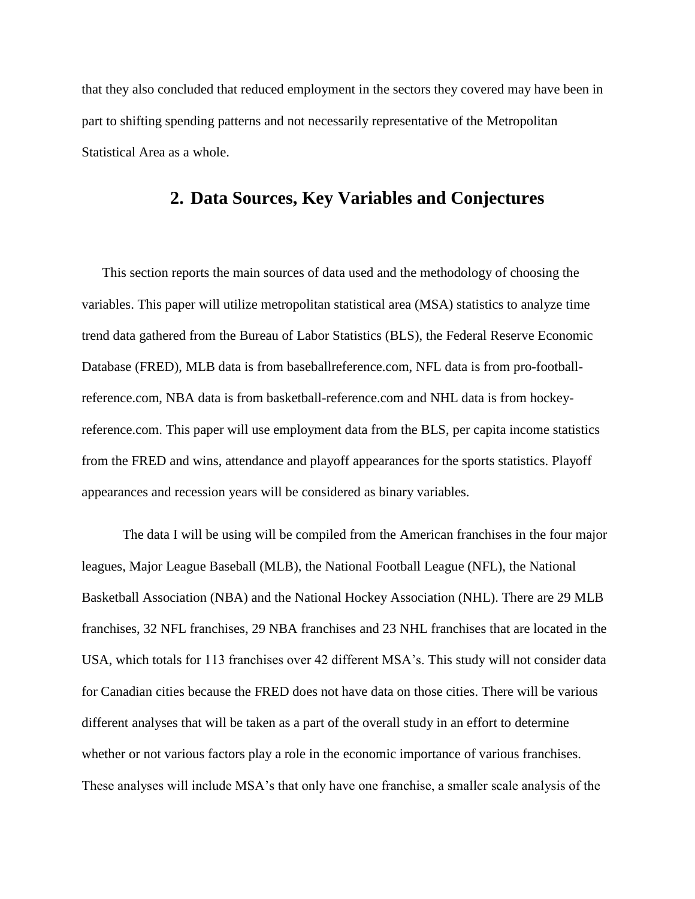that they also concluded that reduced employment in the sectors they covered may have been in part to shifting spending patterns and not necessarily representative of the Metropolitan Statistical Area as a whole.

## **2. Data Sources, Key Variables and Conjectures**

This section reports the main sources of data used and the methodology of choosing the variables. This paper will utilize metropolitan statistical area (MSA) statistics to analyze time trend data gathered from the Bureau of Labor Statistics (BLS), the Federal Reserve Economic Database (FRED), MLB data is from baseballreference.com, NFL data is from pro-footballreference.com, NBA data is from basketball-reference.com and NHL data is from hockeyreference.com. This paper will use employment data from the BLS, per capita income statistics from the FRED and wins, attendance and playoff appearances for the sports statistics. Playoff appearances and recession years will be considered as binary variables.

The data I will be using will be compiled from the American franchises in the four major leagues, Major League Baseball (MLB), the National Football League (NFL), the National Basketball Association (NBA) and the National Hockey Association (NHL). There are 29 MLB franchises, 32 NFL franchises, 29 NBA franchises and 23 NHL franchises that are located in the USA, which totals for 113 franchises over 42 different MSA's. This study will not consider data for Canadian cities because the FRED does not have data on those cities. There will be various different analyses that will be taken as a part of the overall study in an effort to determine whether or not various factors play a role in the economic importance of various franchises. These analyses will include MSA's that only have one franchise, a smaller scale analysis of the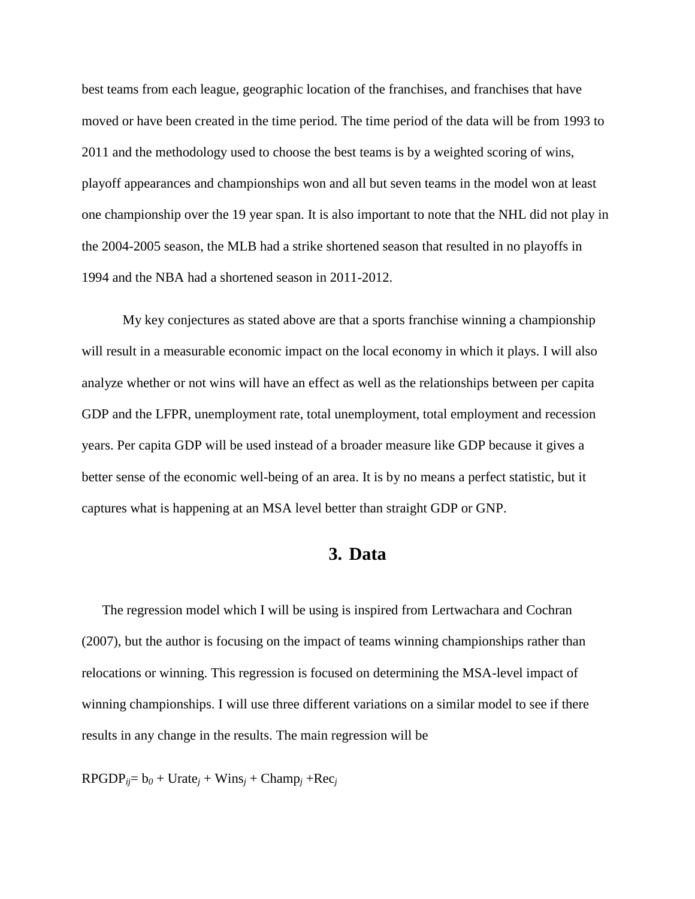best teams from each league, geographic location of the franchises, and franchises that have moved or have been created in the time period. The time period of the data will be from 1993 to 2011 and the methodology used to choose the best teams is by a weighted scoring of wins, playoff appearances and championships won and all but seven teams in the model won at least one championship over the 19 year span. It is also important to note that the NHL did not play in the 2004-2005 season, the MLB had a strike shortened season that resulted in no playoffs in 1994 and the NBA had a shortened season in 2011-2012.

My key conjectures as stated above are that a sports franchise winning a championship will result in a measurable economic impact on the local economy in which it plays. I will also analyze whether or not wins will have an effect as well as the relationships between per capita GDP and the LFPR, unemployment rate, total unemployment, total employment and recession years. Per capita GDP will be used instead of a broader measure like GDP because it gives a better sense of the economic well-being of an area. It is by no means a perfect statistic, but it captures what is happening at an MSA level better than straight GDP or GNP.

### **3. Data**

The regression model which I will be using is inspired from Lertwachara and Cochran (2007), but the author is focusing on the impact of teams winning championships rather than relocations or winning. This regression is focused on determining the MSA-level impact of winning championships. I will use three different variations on a similar model to see if there results in any change in the results. The main regression will be

 $\text{RPGDP}_{ij} = b_0 + \text{Urate}_j + \text{Wins}_j + \text{Champ}_j + \text{Rec}_j$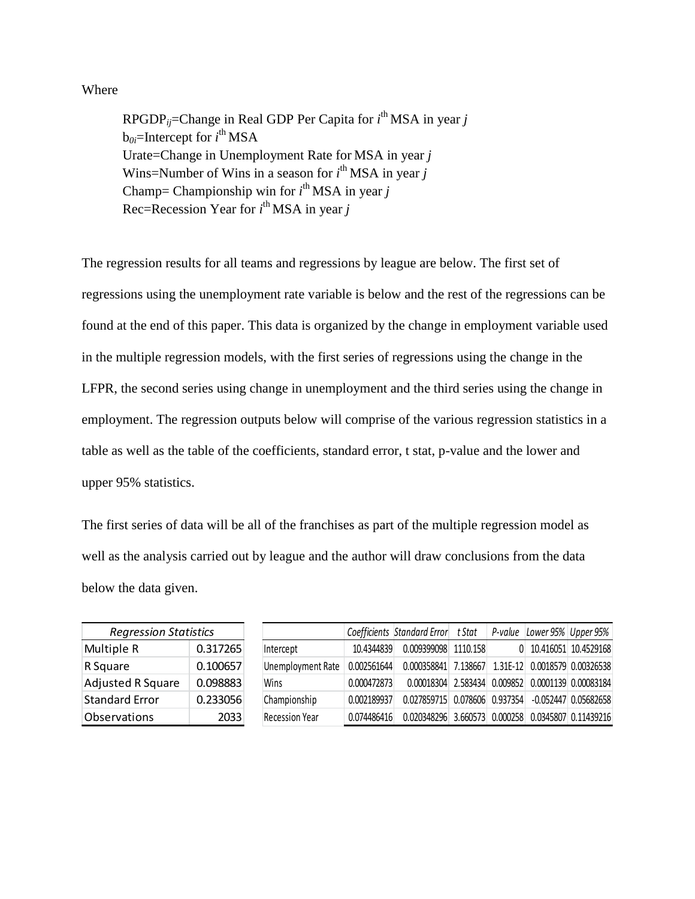### Where

RPGDP*ij*=Change in Real GDP Per Capita for *i* th MSA in year *j* b*0i*=Intercept for *i* th MSA Urate=Change in Unemployment Rate for MSA in year *j* Wins=Number of Wins in a season for *i*<sup>th</sup> MSA in year *j* Champ= Championship win for  $i^{\text{th}}$  MSA in year *j* Rec=Recession Year for *i* th MSA in year *j*

The regression results for all teams and regressions by league are below. The first set of regressions using the unemployment rate variable is below and the rest of the regressions can be found at the end of this paper. This data is organized by the change in employment variable used in the multiple regression models, with the first series of regressions using the change in the LFPR, the second series using change in unemployment and the third series using the change in employment. The regression outputs below will comprise of the various regression statistics in a table as well as the table of the coefficients, standard error, t stat, p-value and the lower and upper 95% statistics.

The first series of data will be all of the franchises as part of the multiple regression model as well as the analysis carried out by league and the author will draw conclusions from the data below the data given.

| <b>Regression Statistics</b> |          |                       |             | Coefficients Standard Error                        | t Stat | P-value | Lower 95%   Upper 95%  |
|------------------------------|----------|-----------------------|-------------|----------------------------------------------------|--------|---------|------------------------|
| Multiple R                   | 0.317265 | Intercept             | 10.4344839  | 0.009399098 1110.158                               |        |         | 0 10.416051 10.4529168 |
| R Square                     | 0.100657 | Unemployment Rate     | 0.002561644 | 0.000358841 7.138667 1.31E-12 0.0018579 0.00326538 |        |         |                        |
| Adjusted R Square            | 0.098883 | Wins                  | 0.000472873 | 0.00018304 2.583434 0.009852 0.0001139 0.00083184  |        |         |                        |
| <b>Standard Error</b>        | 0.233056 | Championship          | 0.002189937 | 0.027859715 0.078606 0.937354 -0.052447 0.05682658 |        |         |                        |
| Observations                 | 2033     | <b>Recession Year</b> | 0.074486416 | 0.020348296 3.660573 0.000258 0.0345807 0.11439216 |        |         |                        |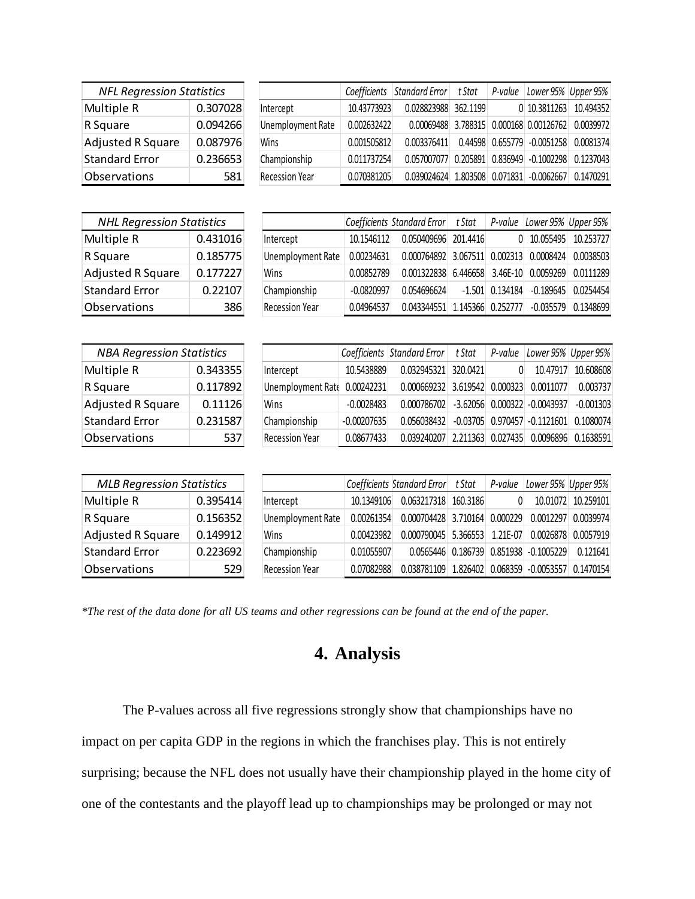| <b>NFL Regression Statistics</b> |          |         |
|----------------------------------|----------|---------|
| Multiple R                       | 0.307028 | Interce |
| R Square                         | 0.094266 | Unemp   |
| <b>Adjusted R Square</b>         | 0.087976 | Wins    |
| <b>Standard Error</b>            | 0.236653 | Champi  |
| Observations                     | 581      | Recessi |

|                          | Coefficients | Standard Error t Stat                    | P-value | Lower 95% Upper 95%                |           |
|--------------------------|--------------|------------------------------------------|---------|------------------------------------|-----------|
| Intercept                | 10.43773923  | 0.028823988 362.1199                     |         | $0$ 10.3811263                     | 10.494352 |
| <b>Unemployment Rate</b> | 0.002632422  | 0.00069488 3.788315 0.000168 0.00126762  |         |                                    | 0.0039972 |
| Wins                     | 0.001505812  | 0.003376411                              |         | $0.44598$ $0.655779$ $-0.0051258$  | 0.0081374 |
| Championship             | 0.011737254  | 0.057007077                              |         | $0.205891$ $0.836949$ $-0.1002298$ | 0.1237043 |
| <b>Recession Year</b>    | 0.070381205  | 0.039024624 1.803508 0.071831 -0.0062667 |         |                                    | 0.1470291 |

| <b>NHL Regression Statistics</b> |          |  |  |  |  |  |
|----------------------------------|----------|--|--|--|--|--|
| Multiple R                       | 0.431016 |  |  |  |  |  |
| R Square                         | 0.185775 |  |  |  |  |  |
| <b>Adjusted R Square</b>         | 0.177227 |  |  |  |  |  |
| <b>Standard Error</b>            | 0.22107  |  |  |  |  |  |
| Observations                     |          |  |  |  |  |  |

|                       |              | Coefficients Standard Error t Stat |          | P-value           | Lower 95% Upper 95%         |           |
|-----------------------|--------------|------------------------------------|----------|-------------------|-----------------------------|-----------|
| Intercept             | 10.1546112   | 0.050409696                        | 201.4416 | 0                 | 10.055495                   | 10.253727 |
| Unemployment Rate     | 0.00234631   | $0.000764892$ 3.067511             |          |                   | 0.002313 0.0008424          | 0.0038503 |
| Wins                  | 0.00852789   | 0.001322838                        |          |                   | 6.446658 3.46E-10 0.0059269 | 0.0111289 |
| Championship          | $-0.0820997$ | 0.054696624                        |          | $-1.501$ 0.134184 | $-0.189645$                 | 0.0254454 |
| <b>Recession Year</b> | 0.04964537   | 0.043344551                        |          | 1.145366 0.252777 | $-0.035579$                 | 0.1348699 |

| <b>NBA Regression Statistics</b> |          |
|----------------------------------|----------|
| Multiple R                       | 0.343355 |
| R Square                         | 0.117892 |
| <b>Adjusted R Square</b>         | 0.11126  |
| <b>Standard Error</b>            | 0.231587 |
| Observations                     | 537      |

|                              |               | Coefficients Standard Error t Stat         | P-value | Lower 95% Upper 95%                   |             |
|------------------------------|---------------|--------------------------------------------|---------|---------------------------------------|-------------|
| Intercept                    | 10.5438889    | 0.032945321 320.0421                       | 0       | 10.47917                              | 10.608608   |
| Unemployment Rate 0.00242231 |               | 0.000669232 3.619542 0.000323 0.0011077    |         |                                       | 0.003737    |
| Wins                         | $-0.0028483$  | $0.000786702$ -3.62056 0.000322 -0.0043937 |         |                                       | $-0.001303$ |
| Championship                 | $-0.00207635$ | 0.056038432                                |         | $-0.03705$ 0.970457 $-0.1121601$      | 0.1080074   |
| <b>Recession Year</b>        | 0.08677433    | 0.039240207                                |         | 2.211363 0.027435 0.0096896 0.1638591 |             |

| <b>MLB Regression Statistics</b> |          |                          |            | Coefficients Standard Error t Stat                 | P-value | Lower 95% Upper 95%                            |                    |
|----------------------------------|----------|--------------------------|------------|----------------------------------------------------|---------|------------------------------------------------|--------------------|
| Multiple R                       | 0.395414 | Intercept                | 10.1349106 | 0.063217318 160.3186                               |         |                                                | 10.01072 10.259101 |
| R Square                         | 0.156352 | <b>Unemployment Rate</b> | 0.00261354 | 0.000704428 3.710164 0.000229                      |         | 0.0012297                                      | 0.0039974          |
| Adjusted R Square                | 0.149912 | Wins                     | 0.00423982 | $0.000790045$ 5.366553 1.21E-07                    |         | 0.0026878                                      | 0.0057919          |
| <b>Standard Error</b>            | 0.223692 | Championship             | 0.01055907 |                                                    |         | $0.0565446$ $0.186739$ $0.851938$ $-0.1005229$ | 0.121641           |
| Observations                     | 529      | <b>Recession Year</b>    | 0.07082988 | 0.038781109 1.826402 0.068359 -0.0053557 0.1470154 |         |                                                |                    |

*\*The rest of the data done for all US teams and other regressions can be found at the end of the paper.*

# **4. Analysis**

The P-values across all five regressions strongly show that championships have no impact on per capita GDP in the regions in which the franchises play. This is not entirely surprising; because the NFL does not usually have their championship played in the home city of one of the contestants and the playoff lead up to championships may be prolonged or may not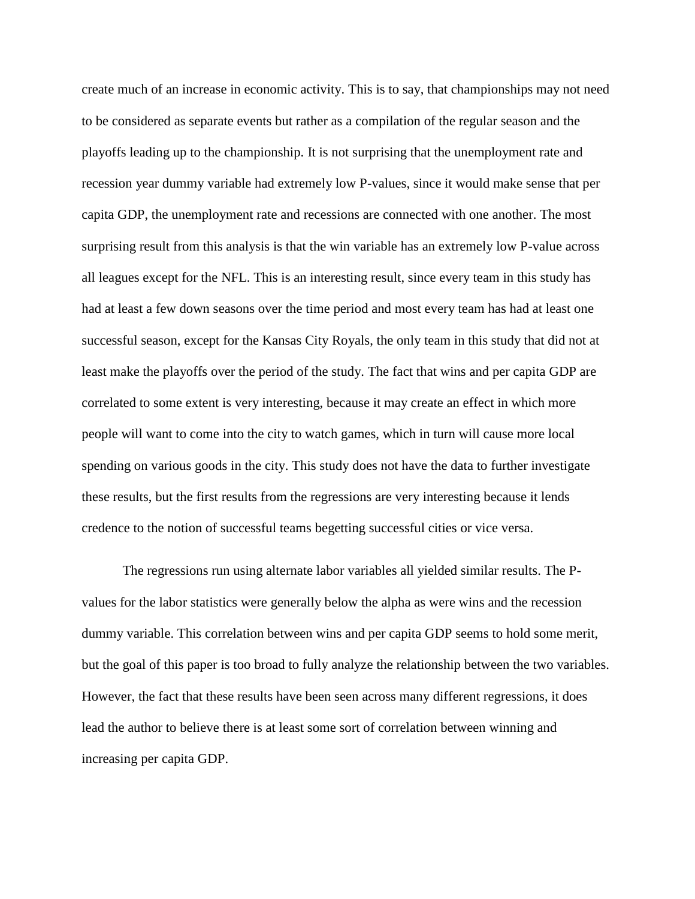create much of an increase in economic activity. This is to say, that championships may not need to be considered as separate events but rather as a compilation of the regular season and the playoffs leading up to the championship. It is not surprising that the unemployment rate and recession year dummy variable had extremely low P-values, since it would make sense that per capita GDP, the unemployment rate and recessions are connected with one another. The most surprising result from this analysis is that the win variable has an extremely low P-value across all leagues except for the NFL. This is an interesting result, since every team in this study has had at least a few down seasons over the time period and most every team has had at least one successful season, except for the Kansas City Royals, the only team in this study that did not at least make the playoffs over the period of the study. The fact that wins and per capita GDP are correlated to some extent is very interesting, because it may create an effect in which more people will want to come into the city to watch games, which in turn will cause more local spending on various goods in the city. This study does not have the data to further investigate these results, but the first results from the regressions are very interesting because it lends credence to the notion of successful teams begetting successful cities or vice versa.

The regressions run using alternate labor variables all yielded similar results. The Pvalues for the labor statistics were generally below the alpha as were wins and the recession dummy variable. This correlation between wins and per capita GDP seems to hold some merit, but the goal of this paper is too broad to fully analyze the relationship between the two variables. However, the fact that these results have been seen across many different regressions, it does lead the author to believe there is at least some sort of correlation between winning and increasing per capita GDP.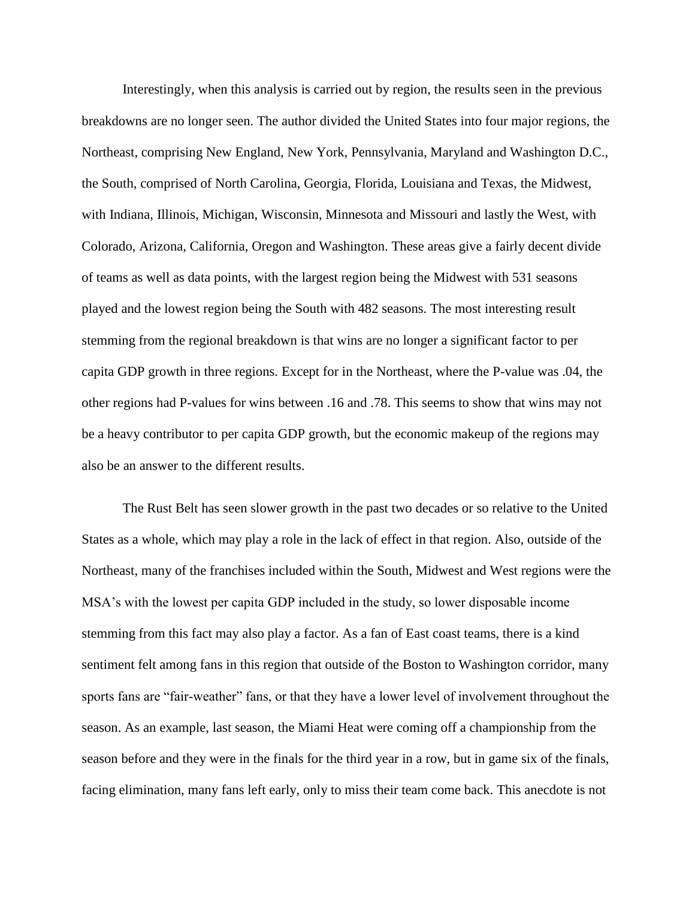Interestingly, when this analysis is carried out by region, the results seen in the previous breakdowns are no longer seen. The author divided the United States into four major regions, the Northeast, comprising New England, New York, Pennsylvania, Maryland and Washington D.C., the South, comprised of North Carolina, Georgia, Florida, Louisiana and Texas, the Midwest, with Indiana, Illinois, Michigan, Wisconsin, Minnesota and Missouri and lastly the West, with Colorado, Arizona, California, Oregon and Washington. These areas give a fairly decent divide of teams as well as data points, with the largest region being the Midwest with 531 seasons played and the lowest region being the South with 482 seasons. The most interesting result stemming from the regional breakdown is that wins are no longer a significant factor to per capita GDP growth in three regions. Except for in the Northeast, where the P-value was .04, the other regions had P-values for wins between .16 and .78. This seems to show that wins may not be a heavy contributor to per capita GDP growth, but the economic makeup of the regions may also be an answer to the different results.

The Rust Belt has seen slower growth in the past two decades or so relative to the United States as a whole, which may play a role in the lack of effect in that region. Also, outside of the Northeast, many of the franchises included within the South, Midwest and West regions were the MSA's with the lowest per capita GDP included in the study, so lower disposable income stemming from this fact may also play a factor. As a fan of East coast teams, there is a kind sentiment felt among fans in this region that outside of the Boston to Washington corridor, many sports fans are "fair-weather" fans, or that they have a lower level of involvement throughout the season. As an example, last season, the Miami Heat were coming off a championship from the season before and they were in the finals for the third year in a row, but in game six of the finals, facing elimination, many fans left early, only to miss their team come back. This anecdote is not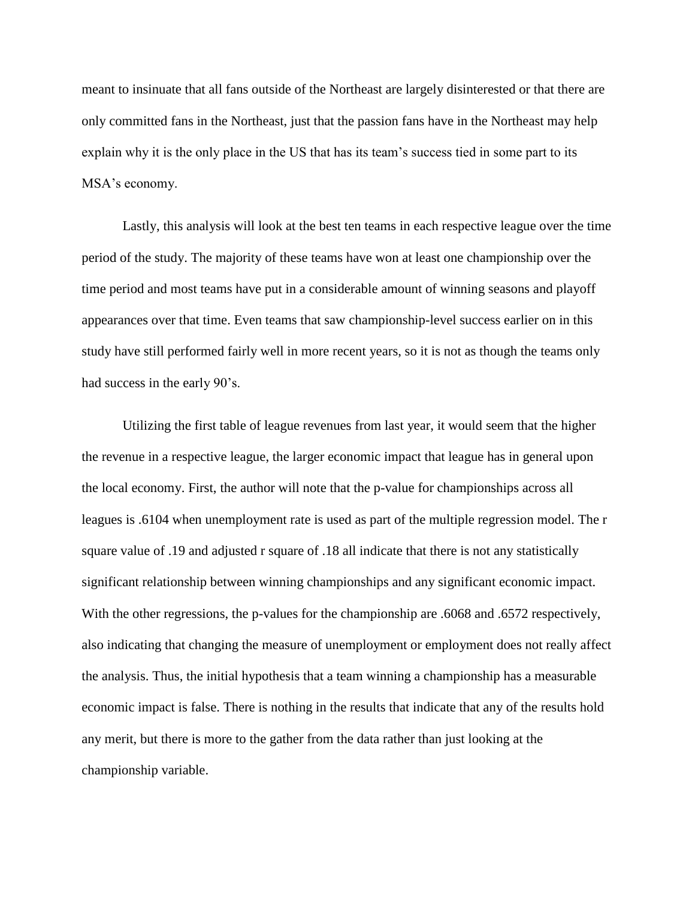meant to insinuate that all fans outside of the Northeast are largely disinterested or that there are only committed fans in the Northeast, just that the passion fans have in the Northeast may help explain why it is the only place in the US that has its team's success tied in some part to its MSA's economy.

Lastly, this analysis will look at the best ten teams in each respective league over the time period of the study. The majority of these teams have won at least one championship over the time period and most teams have put in a considerable amount of winning seasons and playoff appearances over that time. Even teams that saw championship-level success earlier on in this study have still performed fairly well in more recent years, so it is not as though the teams only had success in the early 90's.

Utilizing the first table of league revenues from last year, it would seem that the higher the revenue in a respective league, the larger economic impact that league has in general upon the local economy. First, the author will note that the p-value for championships across all leagues is .6104 when unemployment rate is used as part of the multiple regression model. The r square value of .19 and adjusted r square of .18 all indicate that there is not any statistically significant relationship between winning championships and any significant economic impact. With the other regressions, the p-values for the championship are .6068 and .6572 respectively, also indicating that changing the measure of unemployment or employment does not really affect the analysis. Thus, the initial hypothesis that a team winning a championship has a measurable economic impact is false. There is nothing in the results that indicate that any of the results hold any merit, but there is more to the gather from the data rather than just looking at the championship variable.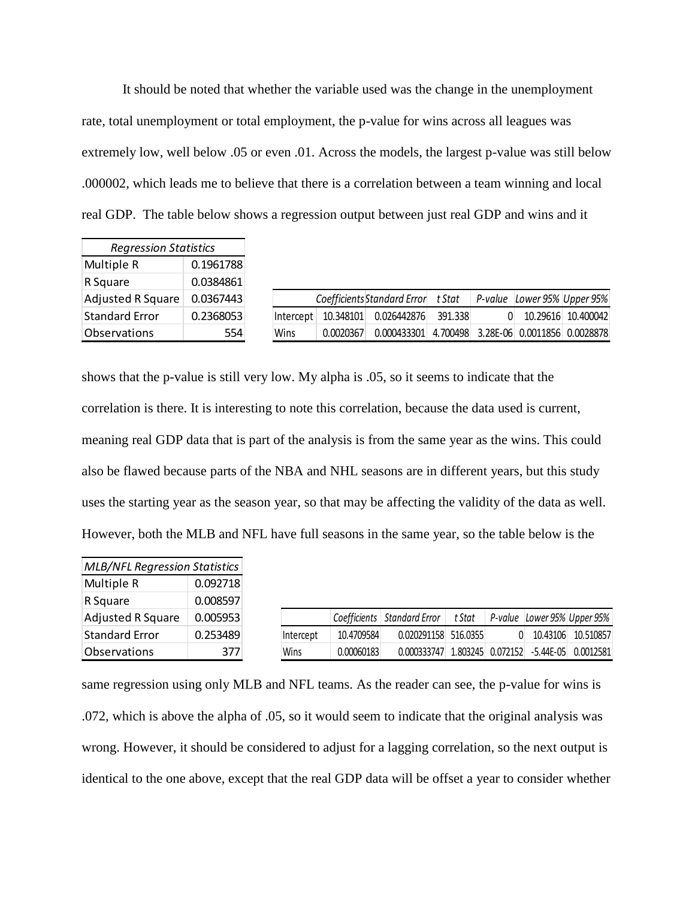It should be noted that whether the variable used was the change in the unemployment rate, total unemployment or total employment, the p-value for wins across all leagues was extremely low, well below .05 or even .01. Across the models, the largest p-value was still below .000002, which leads me to believe that there is a correlation between a team winning and local real GDP. The table below shows a regression output between just real GDP and wins and it

| <b>Regression Statistics</b> |           |           |           |                             |          |  |                              |
|------------------------------|-----------|-----------|-----------|-----------------------------|----------|--|------------------------------|
| Multiple R                   | 0.1961788 |           |           |                             |          |  |                              |
| R Square                     | 0.0384861 |           |           |                             |          |  |                              |
| Adjusted R Square            | 0.0367443 |           |           | Coefficients Standard Error | t Stat   |  | P-value Lower 95% Upper 95%  |
| Standard Error               | 0.2368053 | Intercept | 10.348101 | 0.026442876                 | 391.338  |  | 10.29616 10.400042           |
| <b>Observations</b>          | 554       | Wins      | 0.0020367 | 0.000433301                 | 4.700498 |  | 3.28E-06 0.0011856 0.0028878 |

shows that the p-value is still very low. My alpha is .05, so it seems to indicate that the correlation is there. It is interesting to note this correlation, because the data used is current, meaning real GDP data that is part of the analysis is from the same year as the wins. This could also be flawed because parts of the NBA and NHL seasons are in different years, but this study uses the starting year as the season year, so that may be affecting the validity of the data as well. However, both the MLB and NFL have full seasons in the same year, so the table below is the

| <b>MLB/NFL Regression Statistics</b> |          |           |            |                               |                   |  |                             |
|--------------------------------------|----------|-----------|------------|-------------------------------|-------------------|--|-----------------------------|
| Multiple R                           | 0.092718 |           |            |                               |                   |  |                             |
| R Square                             | 0.008597 |           |            |                               |                   |  |                             |
| Adjusted R Square                    | 0.005953 |           |            | Coefficients   Standard Error | t Stat            |  | P-value Lower 95% Upper 95% |
| <b>Standard Error</b>                | 0.253489 | Intercept | 10.4709584 | 0.020291158 516.0355          |                   |  | 10.43106 10.510857          |
| <b>Observations</b>                  | 377      | Wins      | 0.00060183 | 0.000333747                   | 1.803245 0.072152 |  | $-5.44E-05$ 0.0012581       |

same regression using only MLB and NFL teams. As the reader can see, the p-value for wins is .072, which is above the alpha of .05, so it would seem to indicate that the original analysis was wrong. However, it should be considered to adjust for a lagging correlation, so the next output is identical to the one above, except that the real GDP data will be offset a year to consider whether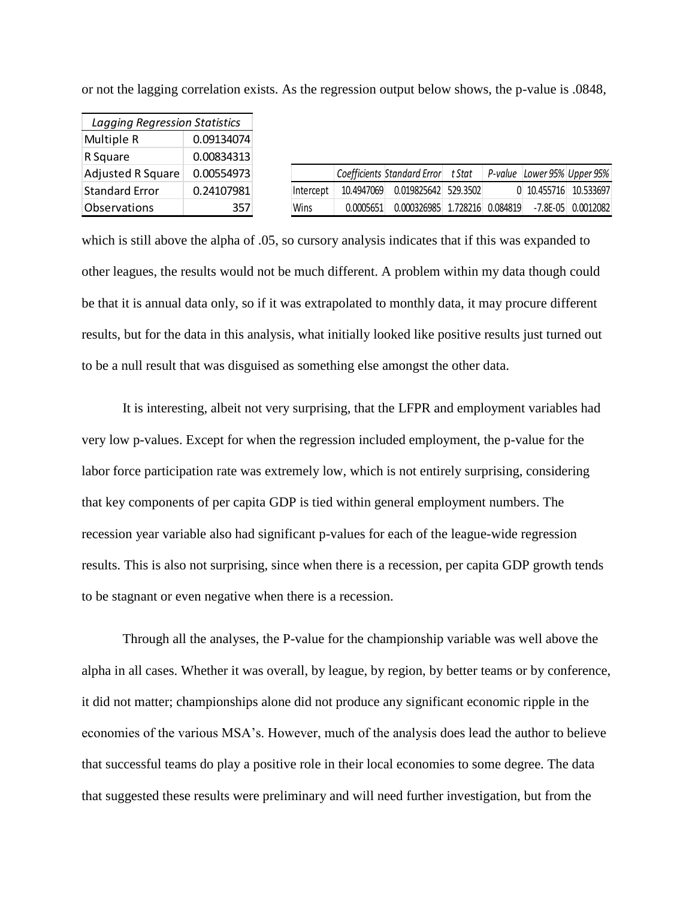| Lagging Regression Statistics |            |           |            |                             |                   |                             |                        |
|-------------------------------|------------|-----------|------------|-----------------------------|-------------------|-----------------------------|------------------------|
| Multiple R                    | 0.09134074 |           |            |                             |                   |                             |                        |
| R Square                      | 0.00834313 |           |            |                             |                   |                             |                        |
| Adjusted R Square             | 0.00554973 |           |            | Coefficients Standard Error | t Stat            | P-value Lower 95% Upper 95% |                        |
| <b>Standard Error</b>         | 0.24107981 | Intercept | 10.4947069 | 0.019825642 529.3502        |                   | 0 10.455716 10.533697       |                        |
| <b>Observations</b>           | 357        | Wins      | 0.0005651  | 0.000326985                 | 1.728216 0.084819 |                             | $-7.8E - 05$ 0.0012082 |

or not the lagging correlation exists. As the regression output below shows, the p-value is .0848,

which is still above the alpha of .05, so cursory analysis indicates that if this was expanded to other leagues, the results would not be much different. A problem within my data though could be that it is annual data only, so if it was extrapolated to monthly data, it may procure different results, but for the data in this analysis, what initially looked like positive results just turned out to be a null result that was disguised as something else amongst the other data.

It is interesting, albeit not very surprising, that the LFPR and employment variables had very low p-values. Except for when the regression included employment, the p-value for the labor force participation rate was extremely low, which is not entirely surprising, considering that key components of per capita GDP is tied within general employment numbers. The recession year variable also had significant p-values for each of the league-wide regression results. This is also not surprising, since when there is a recession, per capita GDP growth tends to be stagnant or even negative when there is a recession.

Through all the analyses, the P-value for the championship variable was well above the alpha in all cases. Whether it was overall, by league, by region, by better teams or by conference, it did not matter; championships alone did not produce any significant economic ripple in the economies of the various MSA's. However, much of the analysis does lead the author to believe that successful teams do play a positive role in their local economies to some degree. The data that suggested these results were preliminary and will need further investigation, but from the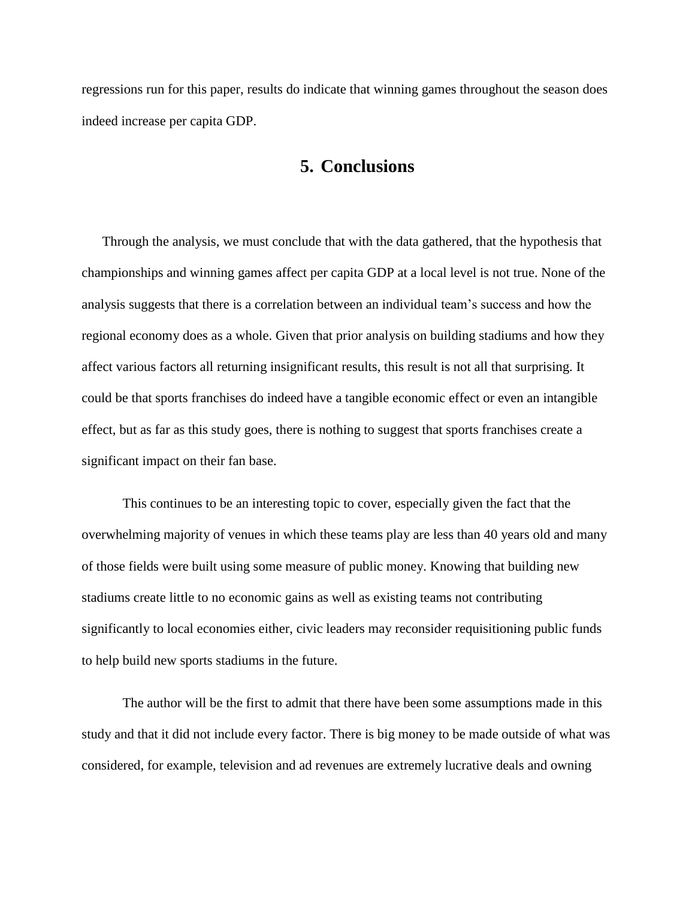regressions run for this paper, results do indicate that winning games throughout the season does indeed increase per capita GDP.

## **5. Conclusions**

Through the analysis, we must conclude that with the data gathered, that the hypothesis that championships and winning games affect per capita GDP at a local level is not true. None of the analysis suggests that there is a correlation between an individual team's success and how the regional economy does as a whole. Given that prior analysis on building stadiums and how they affect various factors all returning insignificant results, this result is not all that surprising. It could be that sports franchises do indeed have a tangible economic effect or even an intangible effect, but as far as this study goes, there is nothing to suggest that sports franchises create a significant impact on their fan base.

This continues to be an interesting topic to cover, especially given the fact that the overwhelming majority of venues in which these teams play are less than 40 years old and many of those fields were built using some measure of public money. Knowing that building new stadiums create little to no economic gains as well as existing teams not contributing significantly to local economies either, civic leaders may reconsider requisitioning public funds to help build new sports stadiums in the future.

The author will be the first to admit that there have been some assumptions made in this study and that it did not include every factor. There is big money to be made outside of what was considered, for example, television and ad revenues are extremely lucrative deals and owning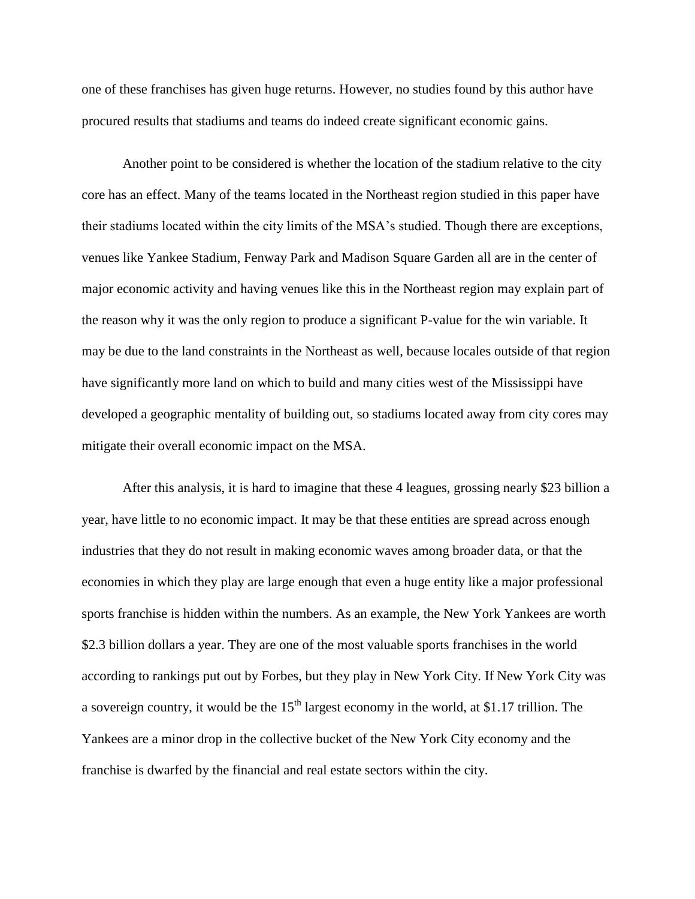one of these franchises has given huge returns. However, no studies found by this author have procured results that stadiums and teams do indeed create significant economic gains.

Another point to be considered is whether the location of the stadium relative to the city core has an effect. Many of the teams located in the Northeast region studied in this paper have their stadiums located within the city limits of the MSA's studied. Though there are exceptions, venues like Yankee Stadium, Fenway Park and Madison Square Garden all are in the center of major economic activity and having venues like this in the Northeast region may explain part of the reason why it was the only region to produce a significant P-value for the win variable. It may be due to the land constraints in the Northeast as well, because locales outside of that region have significantly more land on which to build and many cities west of the Mississippi have developed a geographic mentality of building out, so stadiums located away from city cores may mitigate their overall economic impact on the MSA.

After this analysis, it is hard to imagine that these 4 leagues, grossing nearly \$23 billion a year, have little to no economic impact. It may be that these entities are spread across enough industries that they do not result in making economic waves among broader data, or that the economies in which they play are large enough that even a huge entity like a major professional sports franchise is hidden within the numbers. As an example, the New York Yankees are worth \$2.3 billion dollars a year. They are one of the most valuable sports franchises in the world according to rankings put out by Forbes, but they play in New York City. If New York City was a sovereign country, it would be the  $15<sup>th</sup>$  largest economy in the world, at \$1.17 trillion. The Yankees are a minor drop in the collective bucket of the New York City economy and the franchise is dwarfed by the financial and real estate sectors within the city.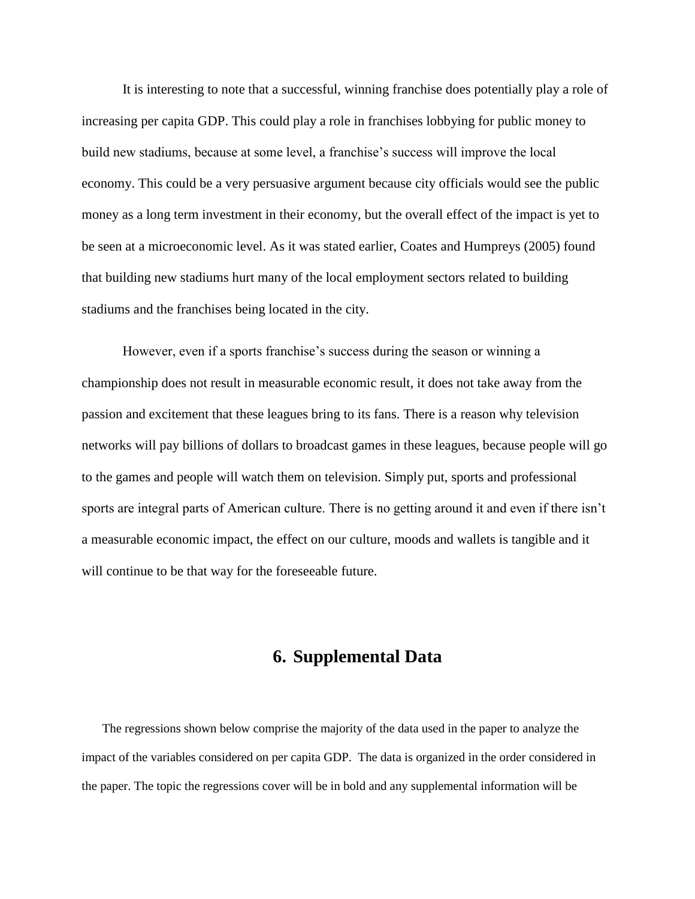It is interesting to note that a successful, winning franchise does potentially play a role of increasing per capita GDP. This could play a role in franchises lobbying for public money to build new stadiums, because at some level, a franchise's success will improve the local economy. This could be a very persuasive argument because city officials would see the public money as a long term investment in their economy, but the overall effect of the impact is yet to be seen at a microeconomic level. As it was stated earlier, Coates and Humpreys (2005) found that building new stadiums hurt many of the local employment sectors related to building stadiums and the franchises being located in the city.

However, even if a sports franchise's success during the season or winning a championship does not result in measurable economic result, it does not take away from the passion and excitement that these leagues bring to its fans. There is a reason why television networks will pay billions of dollars to broadcast games in these leagues, because people will go to the games and people will watch them on television. Simply put, sports and professional sports are integral parts of American culture. There is no getting around it and even if there isn't a measurable economic impact, the effect on our culture, moods and wallets is tangible and it will continue to be that way for the foreseeable future.

## **6. Supplemental Data**

The regressions shown below comprise the majority of the data used in the paper to analyze the impact of the variables considered on per capita GDP. The data is organized in the order considered in the paper. The topic the regressions cover will be in bold and any supplemental information will be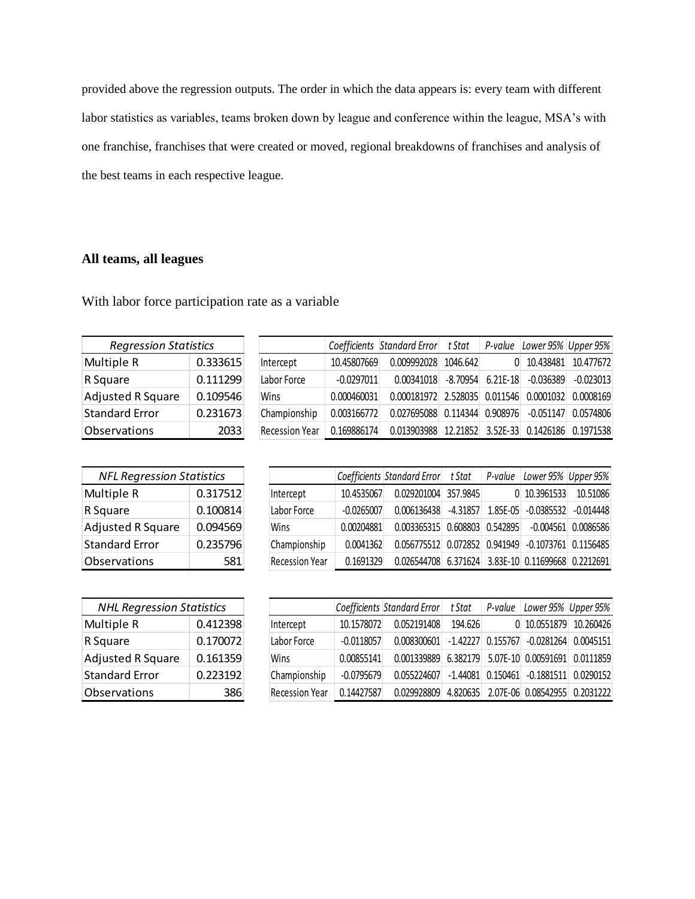provided above the regression outputs. The order in which the data appears is: every team with different labor statistics as variables, teams broken down by league and conference within the league, MSA's with one franchise, franchises that were created or moved, regional breakdowns of franchises and analysis of the best teams in each respective league.

### **All teams, all leagues**

With labor force participation rate as a variable

| <b>Regression Statistics</b> |          |  |  |
|------------------------------|----------|--|--|
| Multiple R                   | 0.333615 |  |  |
| R Square                     | 0.111299 |  |  |
| <b>Adjusted R Square</b>     | 0.109546 |  |  |
| <b>Standard Error</b>        | 0.231673 |  |  |
| Observations                 | 2033     |  |  |

|                       |              | Coefficients Standard Error t Stat P-value Lower 95% Upper 95% |                   |          |                             |             |
|-----------------------|--------------|----------------------------------------------------------------|-------------------|----------|-----------------------------|-------------|
| Intercept             | 10.45807669  | 0.009992028                                                    | 1046.642          | $\Omega$ | 10.438481                   | 10.477672   |
| Labor Force           | $-0.0297011$ | 0.00341018                                                     |                   |          | -8.70954 6.21E-18 -0.036389 | $-0.023013$ |
| Wins                  | 0.000460031  | 0.000181972 2.528035 0.011546 0.0001032                        |                   |          |                             | 0.0008169   |
| Championship          | 0.003166772  | 0.027695088                                                    |                   |          | 0.114344 0.908976 -0.051147 | 0.0574806   |
| <b>Recession Year</b> | 0.169886174  | 0.013903988                                                    | 12.21852 3.52E-33 |          | 0.1426186                   | 0.1971538   |

| <b>NFL Regression Statistics</b> |          |  |  |  |
|----------------------------------|----------|--|--|--|
| Multiple R                       | 0.317512 |  |  |  |
| R Square                         | 0.100814 |  |  |  |
| <b>Adjusted R Square</b>         | 0.094569 |  |  |  |
| <b>Standard Error</b>            | 0.235796 |  |  |  |
| <b>Observations</b>              | 581      |  |  |  |

|                       |              | Coefficients Standard Error t Stat                 |  | P-value Lower 95% Upper 95% |             |
|-----------------------|--------------|----------------------------------------------------|--|-----------------------------|-------------|
| Intercept             | 10.4535067   | 0.029201004 357.9845                               |  | 0 10.3961533                | 10.51086    |
| Labor Force           | $-0.0265007$ | $0.006136438$ -4.31857 1.85E-05 -0.0385532         |  |                             | $-0.014448$ |
| Wins                  | 0.00204881   | 0.003365315 0.608803 0.542895                      |  | $-0.004561$ 0.0086586       |             |
| Championship          | 0.0041362    | 0.056775512 0.072852 0.941949 -0.1073761 0.1156485 |  |                             |             |
| <b>Recession Year</b> | 0.1691329    | 0.026544708 6.371624 3.83E-10 0.11699668 0.2212691 |  |                             |             |

| <b>NHL Regression Statistics</b> |          |  |  |  |  |
|----------------------------------|----------|--|--|--|--|
| Multiple R                       | 0.412398 |  |  |  |  |
| R Square                         | 0.170072 |  |  |  |  |
| <b>Adjusted R Square</b>         | 0.161359 |  |  |  |  |
| <b>Standard Error</b>            | 0.223192 |  |  |  |  |
| Observations                     |          |  |  |  |  |

|                       |              | Coefficients Standard Error                            | t Stat  | P-value | Lower 95% Upper 95%                    |  |
|-----------------------|--------------|--------------------------------------------------------|---------|---------|----------------------------------------|--|
| Intercept             | 10.1578072   | 0.052191408                                            | 194.626 |         | 0 10.0551879 10.260426                 |  |
| Labor Force           | $-0.0118057$ | $0.008300601$ -1.42227 0.155767 -0.0281264 0.0045151   |         |         |                                        |  |
| Wins                  | 0.00855141   | 0.001339889 6.382179 5.07E-10 0.00591691 0.0111859     |         |         |                                        |  |
| Championship          | $-0.0795679$ | $0.055224607$ -1.44081 $0.150461$ -0.1881511 0.0290152 |         |         |                                        |  |
| <b>Recession Year</b> | 0.14427587   | 0.029928809                                            |         |         | 4.820635 2.07E-06 0.08542955 0.2031222 |  |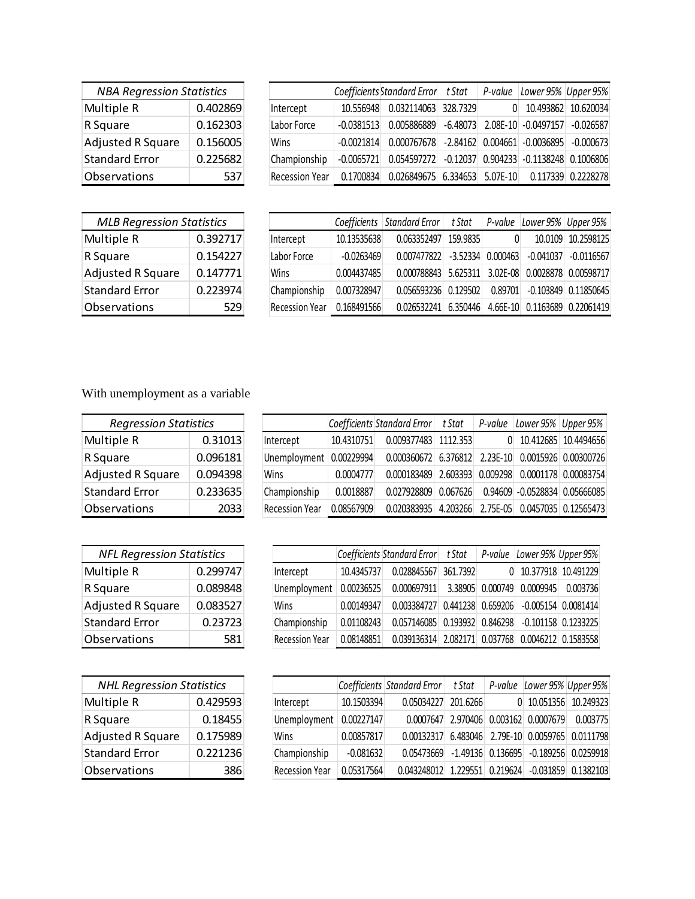| <b>NBA Regression Statistics</b> |          |  |  |  |
|----------------------------------|----------|--|--|--|
| Multiple R                       | 0.402869 |  |  |  |
| R Square                         | 0.162303 |  |  |  |
| <b>Adjusted R Square</b>         | 0.156005 |  |  |  |
| <b>Standard Error</b>            | 0.225682 |  |  |  |
| Observations                     | 537      |  |  |  |

|                       |              | Coefficients Standard Error t Stat                   |          | P-value Lower 95% Upper 95% |                     |
|-----------------------|--------------|------------------------------------------------------|----------|-----------------------------|---------------------|
| Intercept             | 10.556948    | 0.032114063 328.7329                                 | $\Omega$ |                             | 10.493862 10.620034 |
| Labor Force           | $-0.0381513$ | $0.005886889$ $-6.48073$ $2.08$ E $-10$ $-0.0497157$ |          |                             | $-0.026587$         |
| Wins                  | $-0.0021814$ | $0.000767678$ -2.84162 0.004661 -0.0036895 -0.000673 |          |                             |                     |
| Championship          | $-0.0065721$ | 0.054597272 -0.12037 0.904233 -0.1138248 0.1006806   |          |                             |                     |
| <b>Recession Year</b> | 0.1700834    | 0.026849675 6.334653 5.07E-10 0.117339 0.2228278     |          |                             |                     |

| <b>MLB Regression Statistics</b> |          |  |  |  |
|----------------------------------|----------|--|--|--|
| Multiple R                       | 0.392717 |  |  |  |
| R Square                         | 0.154227 |  |  |  |
| <b>Adjusted R Square</b>         | 0.147771 |  |  |  |
| <b>Standard Error</b>            | 0.223974 |  |  |  |
| Observations                     |          |  |  |  |

|                       |              | Coefficients   Standard Error | t Stat     | P-value      | Lower 95% Upper 95% |                          |
|-----------------------|--------------|-------------------------------|------------|--------------|---------------------|--------------------------|
| Intercept             | 10.13535638  | 0.063352497                   | 159.9835   | 0            | 10.0109             | 10.2598125               |
| Labor Force           | $-0.0263469$ | 0.007477822                   | $-3.52334$ | 0.000463     | $-0.041037$         | $-0.0116567$             |
| Wins                  | 0.004437485  | $0.000788843$ 5.625311        |            | $3.02E-08$   |                     | 0.0028878 0.00598717     |
| Championship          | 0.007328947  | 0.056593236 0.129502          |            | 0.89701      |                     | $-0.103849$ $0.11850645$ |
| <b>Recession Year</b> | 0.168491566  | 0.026532241                   | 6.350446   | $4.66E - 10$ |                     | 0.1163689 0.22061419     |

## With unemployment as a variable

| <b>Regression Statistics</b> |          |  |  |  |  |
|------------------------------|----------|--|--|--|--|
| Multiple R                   | 0.31013  |  |  |  |  |
| R Square                     | 0.096181 |  |  |  |  |
| <b>Adjusted R Square</b>     | 0.094398 |  |  |  |  |
| <b>Standard Error</b>        | 0.233635 |  |  |  |  |
| Observations                 | 2033     |  |  |  |  |

|                         |            | Coefficients Standard Error t Stat                 | P-value | Lower 95%   Upper 95%         |
|-------------------------|------------|----------------------------------------------------|---------|-------------------------------|
| Intercept               | 10.4310751 | 0.009377483 1112.353                               |         | 10.412685 10.4494656          |
| Unemployment 0.00229994 |            | 0.000360672 6.376812 2.23E-10 0.0015926 0.00300726 |         |                               |
| Wins                    | 0.0004777  | 0.000183489 2.603393 0.009298 0.0001178 0.00083754 |         |                               |
| Championship            | 0.0018887  | $0.027928809$ $0.067626$                           |         | 0.94609 -0.0528834 0.05666085 |
| <b>Recession Year</b>   | 0.08567909 | 0.020383935 4.203266 2.75E-05 0.0457035 0.12565473 |         |                               |

| <b>NFL Regression Statistics</b> |          |  |  |  |
|----------------------------------|----------|--|--|--|
| Multiple R                       | 0.299747 |  |  |  |
| R Square                         | 0.089848 |  |  |  |
| <b>Adjusted R Square</b>         | 0.083527 |  |  |  |
| <b>Standard Error</b>            | 0.23723  |  |  |  |
| Observations                     | 581      |  |  |  |

| <b>NHL Regression Statistics</b> |          |  |  |
|----------------------------------|----------|--|--|
| Multiple R                       | 0.429593 |  |  |
| R Square                         | 0.18455  |  |  |
| <b>Adjusted R Square</b>         | 0.175989 |  |  |
| <b>Standard Error</b>            | 0.221236 |  |  |
| Observations                     |          |  |  |

|                       |            | Coefficients Standard Error t Stat     |          | P-value           | Lower 95% Upper 95%   |                     |
|-----------------------|------------|----------------------------------------|----------|-------------------|-----------------------|---------------------|
| Intercept             | 10.4345737 | 0.028845567                            | 361.7392 |                   | 0 10.377918 10.491229 |                     |
| Unemployment          | 0.00236525 | 0.000697911 3.38905 0.000749 0.0009945 |          |                   |                       | 0.003736            |
| Wins                  | 0.00149347 | 0.003384727 0.441238 0.659206          |          |                   | -0.005154 0.0081414   |                     |
| Championship          | 0.01108243 | 0.057146085 0.193932 0.846298          |          |                   | -0.101158 0.1233225   |                     |
| <b>Recession Year</b> | 0.08148851 | 0.039136314                            |          | 2.082171 0.037768 |                       | 0.0046212 0.1583558 |

|                       |             | Coefficients Standard Error   t Stat             |          |                             | P-value Lower 95% Upper 95%               |
|-----------------------|-------------|--------------------------------------------------|----------|-----------------------------|-------------------------------------------|
| Intercept             | 10.1503394  | 0.05034227                                       | 201.6266 |                             | 0 10.051356 10.249323                     |
| Unemployment          | 0.00227147  | 0.0007647                                        |          | 2.970406 0.003162 0.0007679 | 0.003775                                  |
| Wins                  | 0.00857817  | 0.00132317 6.483046 2.79E-10 0.0059765 0.0111798 |          |                             |                                           |
| Championship          | $-0.081632$ | 0.05473669                                       |          |                             | $-1.49136$ 0.136695 $-0.189256$ 0.0259918 |
| <b>Recession Year</b> | 0.05317564  | 0.043248012                                      |          | 1.229551 0.219624 -0.031859 | 0.1382103                                 |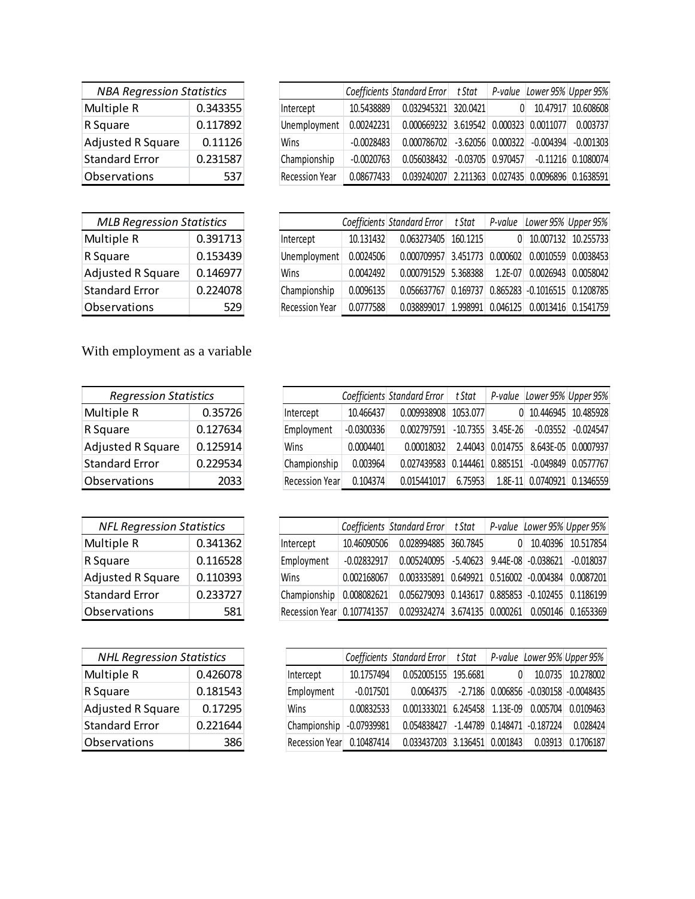| <b>NBA Regression Statistics</b> |          |  |  |
|----------------------------------|----------|--|--|
| Multiple R                       | 0.343355 |  |  |
| R Square                         | 0.117892 |  |  |
| <b>Adjusted R Square</b>         | 0.11126  |  |  |
| <b>Standard Error</b>            | 0.231587 |  |  |
| Observations                     | 537      |  |  |

|                       |              | Coefficients Standard Error t Stat |          | P-value Lower 95% Upper 95%              |             |
|-----------------------|--------------|------------------------------------|----------|------------------------------------------|-------------|
| Intercept             | 10.5438889   | 0.032945321                        | 320.0421 | 10.47917                                 | 10.608608   |
| Unemployment          | 0.00242231   | 0.000669232                        |          | 3.619542 0.000323 0.0011077              | 0.003737    |
| Wins                  | $-0.0028483$ | $0.000786702$ -3.62056 0.000322    |          | $-0.004394$                              | $-0.001303$ |
| Championship          | $-0.0020763$ | 0.056038432                        |          | $-0.03705$ 0.970457 $-0.11216$ 0.1080074 |             |
| <b>Recession Year</b> | 0.08677433   | 0.039240207                        |          | 2.211363 0.027435 0.0096896 0.1638591    |             |

| <b>MLB Regression Statistics</b> |          |  |  |
|----------------------------------|----------|--|--|
| Multiple R                       | 0.391713 |  |  |
| R Square                         | 0.153439 |  |  |
| <b>Adjusted R Square</b>         | 0.146977 |  |  |
| <b>Standard Error</b>            | 0.224078 |  |  |
| Observations                     | 579      |  |  |

|                       |           | Coefficients Standard Error   t Stat |                   | P-value     | Lower 95% Upper 95%            |                     |
|-----------------------|-----------|--------------------------------------|-------------------|-------------|--------------------------------|---------------------|
| Intercept             | 10.131432 | 0.063273405                          | 160.1215          | 0           |                                | 10.007132 10.255733 |
| Unemployment          | 0.0024506 | 0.000709957                          | 3.451773 0.000602 |             | 0.0010559                      | 0.0038453           |
| Wins                  | 0.0042492 | 0.000791529 5.368388                 |                   | $1.2E - 07$ | 0.0026943                      | 0.0058042           |
| Championship          | 0.0096135 | 0.056637767                          | 0.169737          |             | 0.865283 - 0.1016515 0.1208785 |                     |
| <b>Recession Year</b> | 0.0777588 | 0.038899017                          | 1.998991          | 0.046125    |                                | 0.0013416 0.1541759 |

With employment as a variable

| <b>Regression Statistics</b> |          |  |  |
|------------------------------|----------|--|--|
| Multiple R                   | 0.35726  |  |  |
| R Square                     | 0.127634 |  |  |
| <b>Adjusted R Square</b>     | 0.125914 |  |  |
| <b>Standard Error</b>        | 0.229534 |  |  |
| Observations                 | 2033     |  |  |

| <b>NFL Regression Statistics</b> |          |  |  |
|----------------------------------|----------|--|--|
| Multiple R                       | 0.341362 |  |  |
| R Square                         | 0.116528 |  |  |
| <b>Adjusted R Square</b>         | 0.110393 |  |  |
| <b>Standard Error</b>            | 0.233727 |  |  |
| Observations                     | 58       |  |  |

| <b>NHL Regression Statistics</b> |          |  |  |  |
|----------------------------------|----------|--|--|--|
| Multiple R                       | 0.426078 |  |  |  |
| R Square                         | 0.181543 |  |  |  |
| <b>Adjusted R Square</b>         | 0.17295  |  |  |  |
| <b>Standard Error</b>            | 0.221644 |  |  |  |
| Observations                     |          |  |  |  |

|                |              | Coefficients Standard Error | t Stat   | P-value             | Lower 95% Upper 95% |                         |
|----------------|--------------|-----------------------------|----------|---------------------|---------------------|-------------------------|
| Intercept      | 10.466437    | 0.009938908                 | 1053.077 |                     |                     | 0 10.446945 10.485928   |
| Employment     | $-0.0300336$ | 0.002797591                 |          | $-10.7355$ 3.45E-26 | $-0.03552$          | $-0.024547$             |
| Wins           | 0.0004401    | 0.00018032                  |          | 2.44043 0.014755    |                     | 8.643E-05 0.0007937     |
| Championship   | 0.003964     | 0.027439583                 | 0.144461 | 0.885151            |                     | $-0.049849$ $0.0577767$ |
| Recession Year | 0.104374     | 0.015441017                 | 6.75953  | $1.8F-11$           |                     | 0.0740921 0.1346559     |

|                            |               | Coefficients Standard Error t Stat                    |  | P-value Lower 95% Upper 95% |
|----------------------------|---------------|-------------------------------------------------------|--|-----------------------------|
| Intercept                  | 10.46090506   | 0.028994885 360.7845                                  |  | 10.40396 10.517854          |
| Employment                 | $-0.02832917$ | $0.005240095$ $-5.40623$ 9.44E-08 $-0.038621$         |  | -0.018037                   |
| Wins                       | 0.002168067   | 0.003335891  0.649921  0.516002  -0.004384  0.0087201 |  |                             |
| Championship               | 0.008082621   | 0.056279093 0.143617 0.885853 -0.102455 0.1186199     |  |                             |
| Recession Year 0.107741357 |               | 0.029324274 3.674135 0.000261                         |  | 0.050146 0.1653369          |

|                |               | Coefficients Standard Error t Stat          |  |         | P-value Lower 95% Upper 95%                 |
|----------------|---------------|---------------------------------------------|--|---------|---------------------------------------------|
| Intercept      | 10.1757494    | 0.052005155 195.6681                        |  | 10.0735 | 10.278002                                   |
| Employment     | $-0.017501$   | 0.0064375                                   |  |         | $-2.7186$ 0.006856 $-0.030158$ $-0.0048435$ |
| Wins           | 0.00832533    | 0.001333021 6.245458 1.13E-09 0.005704      |  |         | 0.0109463                                   |
| Championship   | $-0.07939981$ | $0.054838427$ -1.44789 $0.148471$ -0.187224 |  |         | 0.028424                                    |
| Recession Year | 0.10487414    | $0.033437203$ 3.136451 0.001843             |  | 0.03913 | 0.1706187                                   |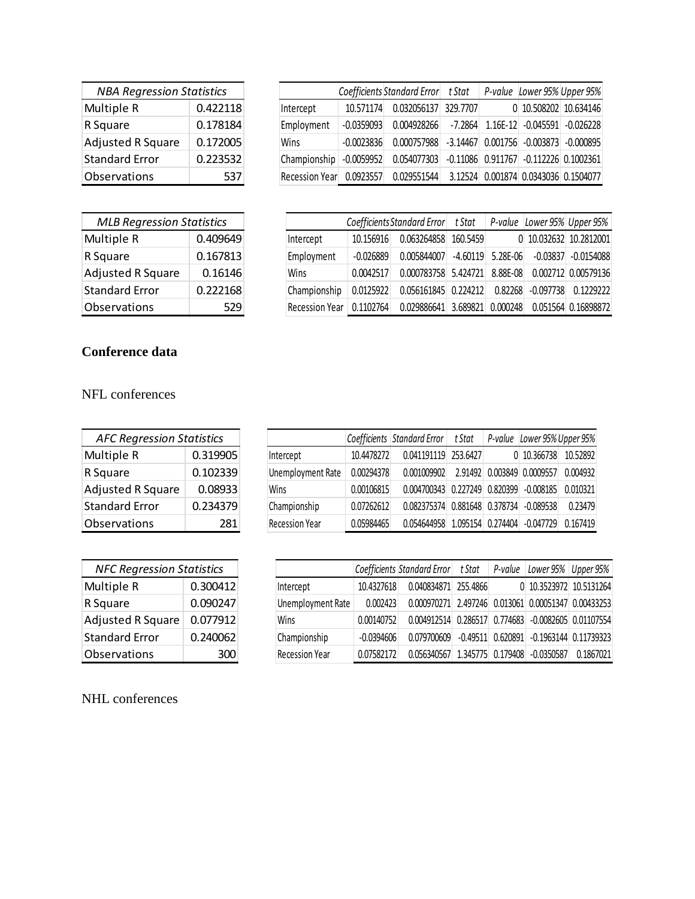| <b>NBA Regression Statistics</b> |          |  |  |  |
|----------------------------------|----------|--|--|--|
| Multiple R                       | 0.422118 |  |  |  |
| R Square                         | 0.178184 |  |  |  |
| <b>Adjusted R Square</b>         | 0.172005 |  |  |  |
| <b>Standard Error</b>            | 0.223532 |  |  |  |
| Observations<br>537              |          |  |  |  |

| <b>MLB Regression Statistics</b> |          |  |  |  |
|----------------------------------|----------|--|--|--|
| Multiple R                       | 0.409649 |  |  |  |
| R Square                         | 0.167813 |  |  |  |
| <b>Adjusted R Square</b>         | 0.16146  |  |  |  |
| <b>Standard Error</b>            | 0.222168 |  |  |  |
| Observations                     |          |  |  |  |

|                |              | Coefficients Standard Error t Stat |          |                                             | P-value Lower 95% Upper 95% |
|----------------|--------------|------------------------------------|----------|---------------------------------------------|-----------------------------|
| Intercept      | 10.571174    | 0.032056137                        | 329.7707 | 0 10.508202 10.634146                       |                             |
| Employment     | $-0.0359093$ | 0.004928266                        | -7.2864  | 1.16E-12 -0.045591 -0.026228                |                             |
| Wins           | $-0.0023836$ | 0.000757988                        |          | $-3.14467$ 0.001756 $-0.003873$ $-0.000895$ |                             |
| Championship   | $-0.0059952$ | 0.054077303                        |          | $-0.11086$ 0.911767 $-0.112226$ 0.1002361   |                             |
| Recession Year | 0.0923557    | 0.029551544                        |          | 3.12524 0.001874 0.0343036 0.1504077        |                             |

| Coefficients Standard Error t Stat |             |             |            |          |             | P-value Lower 95% Upper 95% |
|------------------------------------|-------------|-------------|------------|----------|-------------|-----------------------------|
| Intercept                          | 10.156916   | 0.063264858 | 160.5459   |          |             | 0 10.032632 10.2812001      |
| Employment                         | $-0.026889$ | 0.005844007 | $-4.60119$ | 5.28E-06 | $-0.03837$  | $-0.0154088$                |
| Wins                               | 0.0042517   | 0.000783758 | 5.424721   | 8.88E-08 |             | 0.002712 0.00579136         |
| Championship                       | 0.0125922   | 0.056161845 | 0.224212   | 0.82268  | $-0.097738$ | 0.1229222                   |
| <b>Recession Year</b>              | 0.1102764   | 0.029886641 | 3.689821   | 0.000248 |             | 0.051564 0.16898872         |

## **Conference data**

NFL conferences

| <b>AFC Regression Statistics</b> |          |  |  |  |
|----------------------------------|----------|--|--|--|
| Multiple R                       | 0.319905 |  |  |  |
| R Square                         | 0.102339 |  |  |  |
| <b>Adjusted R Square</b>         | 0.08933  |  |  |  |
| <b>Standard Error</b>            | 0.234379 |  |  |  |
| Observations                     | 281      |  |  |  |

|                       |            | Coefficients Standard Error t Stat      |  | P-value Lower 95% Upper 95% |          |
|-----------------------|------------|-----------------------------------------|--|-----------------------------|----------|
| Intercept             | 10.4478272 | 0.041191119 253.6427                    |  | $0$ 10.366738               | 10.52892 |
| Unemployment Rate     | 0.00294378 | 0.001009902                             |  | 2.91492 0.003849 0.0009557  | 0.004932 |
| Wins                  | 0.00106815 | 0.004700343 0.227249 0.820399 -0.008185 |  |                             | 0.010321 |
| Championship          | 0.07262612 | 0.082375374 0.881648 0.378734 -0.089538 |  |                             | 0.23479  |
| <b>Recession Year</b> | 0.05984465 | 0.054644958 1.095154 0.274404 -0.047729 |  |                             | 0.167419 |

| <b>NFC Regression Statistics</b> |                |  |  |  |
|----------------------------------|----------------|--|--|--|
| Multiple R<br>0.300412           |                |  |  |  |
| R Square                         | 0.090247       |  |  |  |
| <b>Adjusted R Square</b>         | 0.077912       |  |  |  |
| <b>Standard Error</b>            | 0.240062       |  |  |  |
| Observations                     | 3 <sub>0</sub> |  |  |  |

|                       |              | Coefficients Standard Error t Stat                  |  | P-value Lower 95% Upper 95%                     |           |
|-----------------------|--------------|-----------------------------------------------------|--|-------------------------------------------------|-----------|
| Intercept             | 10.4327618   | 0.040834871 255.4866                                |  | 0 10.3523972 10.5131264                         |           |
| Unemployment Rate     | 0.002423     | 0.000970271 2.497246 0.013061 0.00051347 0.00433253 |  |                                                 |           |
| Wins                  | 0.00140752   | 0.004912514 0.286517 0.774683 -0.0082605 0.01107554 |  |                                                 |           |
| Championship          | $-0.0394606$ | 0.079700609                                         |  | $-0.49511$ $0.620891$ $-0.1963144$ $0.11739323$ |           |
| <b>Recession Year</b> | 0.07582172   | 0.056340567 1.345775 0.179408 -0.0350587            |  |                                                 | 0.1867021 |

NHL conferences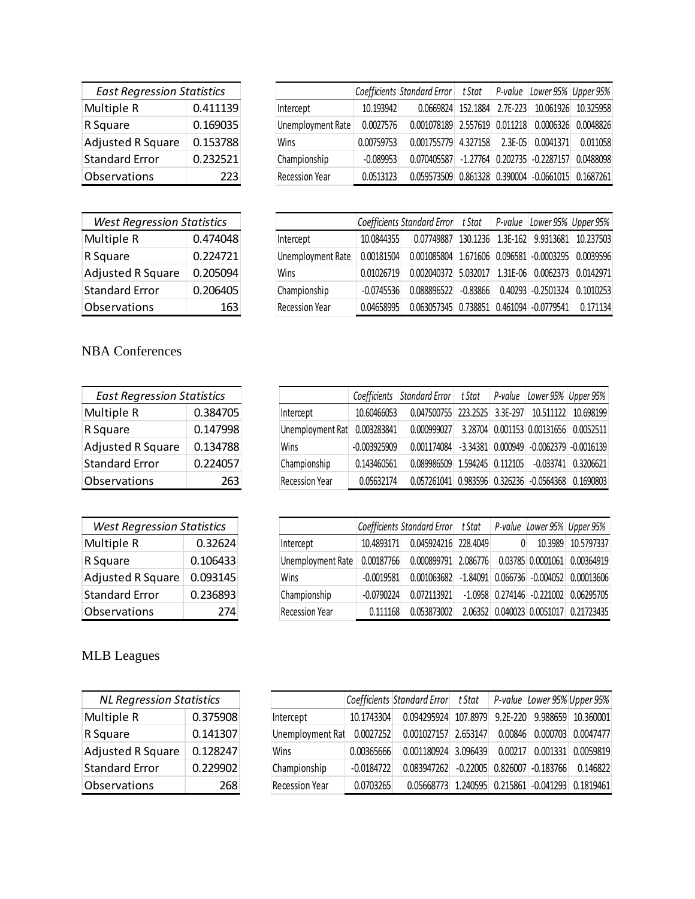| <b>East Regression Statistics</b> |          |  |  |
|-----------------------------------|----------|--|--|
| Multiple R                        | 0.411139 |  |  |
| R Square                          | 0.169035 |  |  |
| <b>Adjusted R Square</b>          | 0.153788 |  |  |
| <b>Standard Error</b>             | 0.232521 |  |  |
| Observations<br>223               |          |  |  |

| <b>West Regression Statistics</b> |          |  |  |  |
|-----------------------------------|----------|--|--|--|
| Multiple R                        | 0.474048 |  |  |  |
| R Square                          | 0.224721 |  |  |  |
| <b>Adjusted R Square</b>          | 0.205094 |  |  |  |
| <b>Standard Error</b>             | 0.206405 |  |  |  |
| Observations                      | 163      |  |  |  |

L

|                       |             | Coefficients Standard Error   t Stat   P-value     |            | Lower 95% Upper 95% |                     |
|-----------------------|-------------|----------------------------------------------------|------------|---------------------|---------------------|
| Intercept             | 10.193942   | 0.0669824 152.1884                                 | $2.7E-223$ |                     | 10.061926 10.325958 |
| Unemployment Rate     | 0.0027576   | 0.001078189 2.557619 0.011218                      |            |                     | 0.0006326 0.0048826 |
| Wins                  | 0.00759753  | $0.001755779$ 4.327158 2.3E-05 0.0041371           |            |                     | 0.011058            |
| Championship          | $-0.089953$ | 0.070405587 -1.27764 0.202735 -0.2287157           |            |                     | 0.0488098           |
| <b>Recession Year</b> | 0.0513123   | 0.059573509 0.861328 0.390004 -0.0661015 0.1687261 |            |                     |                     |

|                       |              | Coefficients Standard Error t Stat               |            | P-value | Lower 95% Upper 95%    |           |
|-----------------------|--------------|--------------------------------------------------|------------|---------|------------------------|-----------|
| Intercept             | 10.0844355   | 0.07749887 130.1236                              |            |         | 1.3E-162 9.9313681     | 10.237503 |
| Unemployment Rate     | 0.00181504   | 0.001085804 1.671606 0.096581 -0.0003295         |            |         |                        | 0.0039596 |
| Wins                  | 0.01026719   | 0.002040372 5.032017                             |            |         | 1.31E-06 0.0062373     | 0.0142971 |
| Championship          | $-0.0745536$ | 0.088896522                                      | $-0.83866$ |         | $0.40293$ $-0.2501324$ | 0.1010253 |
| <b>Recession Year</b> | 0.04658995   | $0.063057345$ $0.738851$ $0.461094$ $-0.0779541$ |            |         |                        | 0.171134  |

## NBA Conferences

| <b>East Regression Statistics</b> |          |  |  |  |
|-----------------------------------|----------|--|--|--|
| Multiple R                        | 0.384705 |  |  |  |
| R Square                          | 0.147998 |  |  |  |
| <b>Adjusted R Square</b>          | 0.134788 |  |  |  |
| <b>Standard Error</b>             | 0.224057 |  |  |  |
| Observations                      | 263      |  |  |  |

| <b>West Regression Statistics</b> |          |  |  |  |
|-----------------------------------|----------|--|--|--|
| Multiple R                        | 0.32624  |  |  |  |
| R Square                          | 0.106433 |  |  |  |
| <b>Adjusted R Square</b>          | 0.093145 |  |  |  |
| <b>Standard Error</b>             | 0.236893 |  |  |  |
| Observations                      | 774      |  |  |  |

|                       |                | Coefficients Standard Error   t Stat   P-value   Lower 95%   Upper 95% |  |           |
|-----------------------|----------------|------------------------------------------------------------------------|--|-----------|
| Intercept             | 10.60466053    | 0.047500755 223.2525 3.3E-297 10.511122                                |  | 10.698199 |
| Unemployment Rat      | 0.003283841    | 0.000999027 3.28704 0.001153 0.00131656 0.0052511                      |  |           |
| Wins                  | $-0.003925909$ | $0.001174084$ $-3.34381$ $0.000949$ $-0.0062379$ $-0.0016139$          |  |           |
| Championship          | 0.143460561    | $0.089986509$ $1.594245$ $0.112105$ $-0.033741$ $0.3206621$            |  |           |
| <b>Recession Year</b> | 0.05632174     | 0.057261041  0.983596  0.326236  -0.0564368  0.1690803                 |  |           |

|                       |              | Coefficients Standard Error t Stat                         |  | P-value Lower 95% Upper 95%           |
|-----------------------|--------------|------------------------------------------------------------|--|---------------------------------------|
| Intercept             | 10.4893171   | 0.045924216 228.4049                                       |  | 10.3989 10.5797337                    |
| Unemployment Rate     | 0.00187766   | 0.000899791 2.086776 0.03785 0.0001061 0.00364919          |  |                                       |
| Wins                  | $-0.0019581$ | $0.001063682$ $-1.84091$ $0.066736$ $-0.004052$ 0.00013606 |  |                                       |
| Championship          | $-0.0790224$ | 0.072113921                                                |  | -1.0958 0.274146 -0.221002 0.06295705 |
| <b>Recession Year</b> | 0.111168     | 0.053873002                                                |  | 2.06352 0.040023 0.0051017 0.21723435 |

## MLB Leagues

| <b>NL Regression Statistics</b> |          |  |  |  |  |
|---------------------------------|----------|--|--|--|--|
| Multiple R                      | 0.375908 |  |  |  |  |
| R Square                        | 0.141307 |  |  |  |  |
| <b>Adjusted R Square</b>        | 0.128247 |  |  |  |  |
| <b>Standard Error</b>           | 0.229902 |  |  |  |  |
| Observations                    | 268      |  |  |  |  |

Į

|                       |              | Coefficients Standard Error t Stat               |            |              |                        | P-value Lower 95% Upper 95% |
|-----------------------|--------------|--------------------------------------------------|------------|--------------|------------------------|-----------------------------|
| Intercept             | 10.1743304   | 0.094295924                                      | 107.8979   | $9.2E - 220$ |                        | 9.988659 10.360001          |
| Unemployment Rat      | 0.0027252    | 0.001027157                                      | 2.653147   | 0.00846      | 0.000703               | 0.0047477                   |
| Wins                  | 0.00365666   | 0.001180924 3.096439                             |            | 0.00217      |                        | 0.001331 0.0059819          |
| Championship          | $-0.0184722$ | 0.083947262                                      | $-0.22005$ |              | $0.826007$ $-0.183766$ | 0.146822                    |
| <b>Recession Year</b> | 0.0703265    | 0.05668773 1.240595 0.215861 -0.041293 0.1819461 |            |              |                        |                             |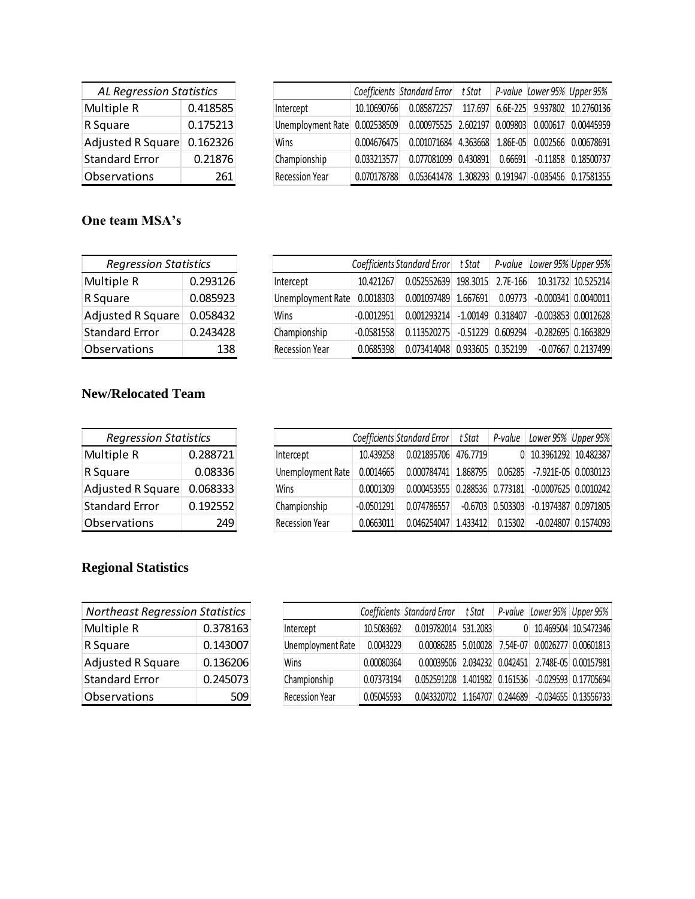| <b>AL Regression Statistics</b> |          |  |  |  |
|---------------------------------|----------|--|--|--|
| Multiple R                      | 0.418585 |  |  |  |
| R Square                        | 0.175213 |  |  |  |
| <b>Adjusted R Square</b>        | 0.162326 |  |  |  |
| <b>Standard Error</b>           | 0.21876  |  |  |  |
| Observations                    | 261      |  |  |  |

|                               |             | Coefficients Standard Error t Stat                 |         |          | P-value Lower 95% Upper 95%  |
|-------------------------------|-------------|----------------------------------------------------|---------|----------|------------------------------|
| Intercept                     | 10.10690766 | 0.085872257                                        | 117.697 |          | 6.6E-225 9.937802 10.2760136 |
| Unemployment Rate 0.002538509 |             | 0.000975525 2.602197                               |         | 0.009803 | 0.000617 0.00445959          |
| Wins                          | 0.004676475 | $0.001071684$ 4.363668                             |         | 1.86E-05 | 0.002566 0.00678691          |
| Championship                  | 0.033213577 | 0.077081099 0.430891                               |         | 0.66691  | $-0.11858$ $0.18500737$      |
| <b>Recession Year</b>         | 0.070178788 | 0.053641478 1.308293 0.191947 -0.035456 0.17581355 |         |          |                              |

## **One team MSA's**

| <b>Regression Statistics</b> |          |  |
|------------------------------|----------|--|
| Multiple R                   | 0.293126 |  |
| R Square                     | 0.085923 |  |
| <b>Adjusted R Square</b>     | 0.058432 |  |
| <b>Standard Error</b>        | 0.243428 |  |
| Observations                 | 138      |  |

|                       |              | Coefficients Standard Error   t Stat   P-value   Lower 95%   Upper 95% |          |                       |
|-----------------------|--------------|------------------------------------------------------------------------|----------|-----------------------|
| Intercept             | 10.421267    | 0.052552639 198.3015 2.7E-166                                          |          | 10.31732 10.525214    |
| Unemployment Rate     | 0.0018303    | 0.001097489 1.667691                                                   | 0.09773  | $-0.000341$ 0.0040011 |
| Wins                  | $-0.0012951$ | $0.001293214$ $-1.00149$ $0.318407$ $-0.003853$ 0.0012628              |          |                       |
| Championship          | $-0.0581558$ | $0.113520275$ -0.51229                                                 | 0.609294 | $-0.282695$ 0.1663829 |
| <b>Recession Year</b> | 0.0685398    | 0.073414048 0.933605 0.352199                                          |          | $-0.07667$ 0.2137499  |

## **New/Relocated Team**

| <b>Regression Statistics</b> |          |  |  |  |  |
|------------------------------|----------|--|--|--|--|
| Multiple R                   | 0.288721 |  |  |  |  |
| R Square                     | 0.08336  |  |  |  |  |
| <b>Adjusted R Square</b>     | 0.068333 |  |  |  |  |
| <b>Standard Error</b>        | 0.192552 |  |  |  |  |
| Observations<br>249          |          |  |  |  |  |

|                       |              | Coefficients Standard Error   t Stat   P-value     |          |                    | Lower 95% Upper 95%    |           |
|-----------------------|--------------|----------------------------------------------------|----------|--------------------|------------------------|-----------|
| Intercept             | 10.439258    | 0.021895706 476.7719                               |          |                    | 0 10.3961292 10.482387 |           |
| Unemployment Rate     | 0.0014665    | 0.000784741 1.868795 0.06285 -7.921E-05 0.0030123  |          |                    |                        |           |
| Wins                  | 0.0001309    | 0.000453555 0.288536 0.773181 -0.0007625 0.0010242 |          |                    |                        |           |
| Championship          | $-0.0501291$ | 0.074786557                                        |          | $-0.6703$ 0.503303 | $-0.1974387$ 0.0971805 |           |
| <b>Recession Year</b> | 0.0663011    | 0.046254047                                        | 1.433412 | 0.15302            | $-0.024807$            | 0.1574093 |

## **Regional Statistics**

| <b>Northeast Regression Statistics</b> |          |  |  |  |  |
|----------------------------------------|----------|--|--|--|--|
| Multiple R                             | 0.378163 |  |  |  |  |
| R Square                               | 0.143007 |  |  |  |  |
| <b>Adjusted R Square</b>               | 0.136206 |  |  |  |  |
| <b>Standard Error</b>                  | 0.245073 |  |  |  |  |
| Observations                           |          |  |  |  |  |

|                          |            | Coefficients Standard Error t Stat                 |  | P-value Lower 95% Upper 95%                       |
|--------------------------|------------|----------------------------------------------------|--|---------------------------------------------------|
| Intercept                | 10.5083692 | 0.019782014 531.2083                               |  | 0 10.469504 10.5472346                            |
| <b>Unemployment Rate</b> | 0.0043229  |                                                    |  | 0.00086285 5.010028 7.54E-07 0.0026277 0.00601813 |
| Wins                     | 0.00080364 | 0.00039506 2.034232 0.042451 2.748E-05 0.00157981  |  |                                                   |
| Championship             | 0.07373194 | 0.052591208 1.401982 0.161536 -0.029593 0.17705694 |  |                                                   |
| <b>Recession Year</b>    | 0.05045593 | 0.043320702 1.164707 0.244689                      |  | $-0.034655$ 0.13556733                            |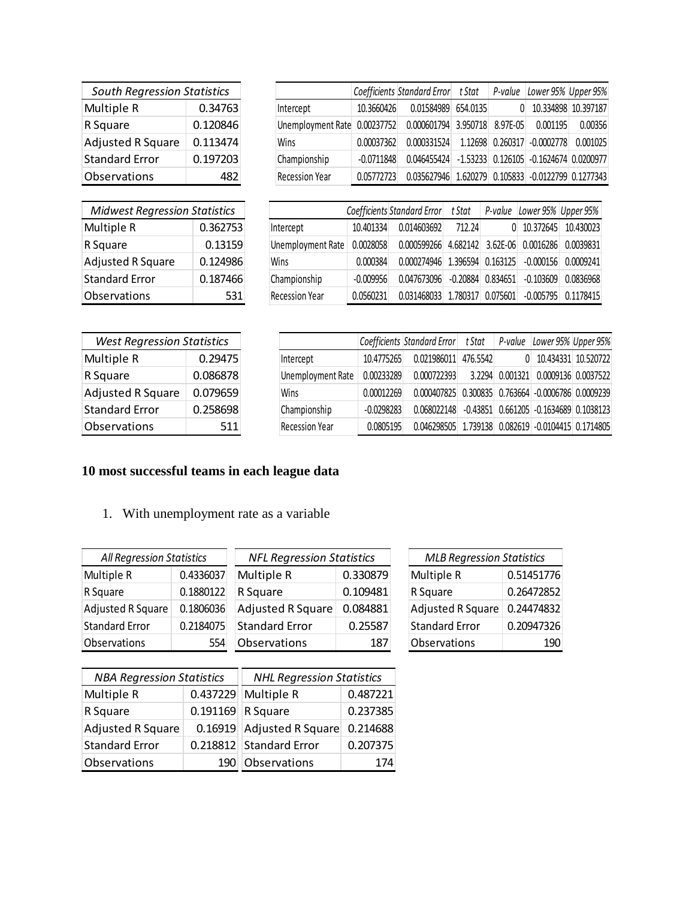| <b>South Regression Statistics</b> |          |  |  |  |
|------------------------------------|----------|--|--|--|
| Multiple R                         | 0.34763  |  |  |  |
| R Square                           | 0.120846 |  |  |  |
| <b>Adjusted R Square</b>           | 0.113474 |  |  |  |
| <b>Standard Error</b>              | 0.197203 |  |  |  |
| Observations                       |          |  |  |  |

| <b>Midwest Regression Statistics</b> |          |  |  |  |  |
|--------------------------------------|----------|--|--|--|--|
| Multiple R                           | 0.362753 |  |  |  |  |
| R Square                             | 0.13159  |  |  |  |  |
| <b>Adjusted R Square</b>             | 0.124986 |  |  |  |  |
| <b>Standard Error</b>                | 0.187466 |  |  |  |  |
| Observations                         | 531      |  |  |  |  |

|                              |              | Coefficients Standard Error t Stat                 | P-value  | Lower 95% Upper 95%         |                     |
|------------------------------|--------------|----------------------------------------------------|----------|-----------------------------|---------------------|
| Intercept                    | 10.3660426   | 0.01584989 654.0135                                | 0        |                             | 10.334898 10.397187 |
| Unemployment Rate 0.00237752 |              | 0.000601794 3.950718                               | 8.97E-05 | 0.001195                    | 0.00356             |
| Wins                         | 0.00037362   | 0.000331524                                        |          | 1.12698 0.260317 -0.0002778 | 0.001025            |
| Championship                 | $-0.0711848$ | 0.046455424 -1.53233 0.126105 -0.1624674 0.0200977 |          |                             |                     |
| <b>Recession Year</b>        | 0.05772723   | 0.035627946 1.620279 0.105833 -0.0122799 0.1277343 |          |                             |                     |

|                       |             | Coefficients Standard Error t Stat                          |          | P-value      | Lower 95% Upper 95% |           |
|-----------------------|-------------|-------------------------------------------------------------|----------|--------------|---------------------|-----------|
| Intercept             | 10.401334   | 0.014603692                                                 | 712.24   | $\mathbf{0}$ | 10.372645           | 10.430023 |
| Unemployment Rate     | 0.0028058   | $0.000599266$ 4.682142 3.62E-06 0.0016286                   |          |              |                     | 0.0039831 |
| Wins                  | 0.000384    | $0.000274946$ $1.396594$ $0.163125$ $-0.000156$ $0.0009241$ |          |              |                     |           |
| Championship          | $-0.009956$ | $0.047673096$ $-0.20884$ 0.834651 $-0.103609$               |          |              |                     | 0.0836968 |
| <b>Recession Year</b> | 0.0560231   | 0.031468033                                                 | 1.780317 | 0.075601     | -0.005795           | 0.1178415 |

| <b>West Regression Statistics</b> |          |  |  |  |  |
|-----------------------------------|----------|--|--|--|--|
| Multiple R                        | 0.29475  |  |  |  |  |
| R Square                          | 0.086878 |  |  |  |  |
| <b>Adjusted R Square</b>          | 0.079659 |  |  |  |  |
| <b>Standard Error</b>             | 0.258698 |  |  |  |  |
| Observations                      | 511      |  |  |  |  |

|                       |              | Coefficients Standard Error t Stat P-value Lower 95% Upper 95% |          |                                        |  |
|-----------------------|--------------|----------------------------------------------------------------|----------|----------------------------------------|--|
| Intercept             | 10.4775265   | 0.021986011                                                    | 476.5542 | 0 10.434331 10.520722                  |  |
| Unemployment Rate     | 0.00233289   | 0.000722393                                                    |          | 3.2294 0.001321 0.0009136 0.0037522    |  |
| Wins                  | 0.00012269   | 0.000407825                                                    |          | 0.300835 0.763664 -0.0006786 0.0009239 |  |
| Championship          | $-0.0298283$ | $0.068022148$ $-0.43851$ $0.661205$ $-0.1634689$ 0.1038123     |          |                                        |  |
| <b>Recession Year</b> | 0.0805195    | 0.046298505 1.739138 0.082619 -0.0104415 0.1714805             |          |                                        |  |

# **10 most successful teams in each league data**

| <b>South Regression Statistics</b>                 |                                      |              |                                  |  | Coefficien   |
|----------------------------------------------------|--------------------------------------|--------------|----------------------------------|--|--------------|
| Multiple R                                         | 0.34763                              |              | Intercept                        |  | 10.36604     |
| R Square                                           | 0.120846                             |              | Unemployment Rate                |  | 0.002377     |
| <b>Adjusted R Square</b>                           | 0.113474                             |              | Wins                             |  | 0.000373     |
| <b>Standard Error</b>                              | 0.197203                             |              | Championship                     |  | $-0.07118$   |
| Observations                                       | 482                                  |              | <b>Recession Year</b>            |  | 0.057727     |
|                                                    |                                      |              |                                  |  |              |
| <b>Midwest Regression Statistics</b>               |                                      |              |                                  |  | Coefficients |
| Multiple R                                         | 0.362753                             |              | Intercept                        |  | 10.401334    |
| R Square                                           | 0.13159                              |              | Unemployment Rate                |  | 0.0028058    |
| <b>Adjusted R Square</b>                           | 0.124986                             |              | Wins                             |  | 0.000384     |
| <b>Standard Error</b>                              | 0.187466                             |              | Championship                     |  | $-0.009956$  |
| Observations                                       | 531                                  |              | <b>Recession Year</b>            |  | 0.0560231    |
|                                                    |                                      |              |                                  |  |              |
|                                                    |                                      |              |                                  |  |              |
| <b>West Regression Statistics</b>                  |                                      |              |                                  |  | Coefficie    |
| Multiple R                                         | 0.29475                              |              | Intercept                        |  | 10.4775      |
| R Square                                           | 0.086878                             |              | <b>Unemployment Rate</b>         |  | 0.00233      |
| <b>Adjusted R Square</b>                           | 0.079659                             |              | Wins                             |  | 0.00012      |
| <b>Standard Error</b>                              | 0.258698                             |              | Championship                     |  | $-0.0298$    |
| Observations                                       | 511                                  |              | <b>Recession Year</b>            |  | 0.0805       |
| 10 most successful teams in each league data<br>1. | With unemployment rate as a variable |              |                                  |  |              |
| <b>All Regression Statistics</b>                   |                                      |              | <b>NFL Regression Statistics</b> |  |              |
| Multiple R                                         | 0.4336037                            | Multiple R   |                                  |  | 0.330879     |
| R Square                                           | 0.1880122                            | R Square     |                                  |  | 0.109481     |
| Adjusted R Square                                  | 0.1806036                            |              | <b>Adjusted R Square</b>         |  | 0.084881     |
| <b>Standard Error</b>                              | 0.2184075                            |              | <b>Standard Error</b>            |  | 0.25587      |
| Observations                                       | 554                                  | Observations |                                  |  | 187          |
| <b>NBA Regression Statistics</b>                   |                                      |              | <b>NHL Regression Statistics</b> |  |              |

| <b>MLB Regression Statistics</b> |            |  |  |  |  |
|----------------------------------|------------|--|--|--|--|
| Multiple R                       | 0.51451776 |  |  |  |  |
| R Square                         | 0.26472852 |  |  |  |  |
| <b>Adjusted R Square</b>         | 0.24474832 |  |  |  |  |
| <b>Standard Error</b>            | 0.20947326 |  |  |  |  |
| Observations                     |            |  |  |  |  |

| <b>NBA Regression Statistics</b> |      | <b>NHL Regression Statistics</b> |          |  |
|----------------------------------|------|----------------------------------|----------|--|
| Multiple R                       |      | 0.437229 Multiple R              | 0.487221 |  |
| R Square                         |      | 0.191169 R Square                | 0.237385 |  |
| <b>Adjusted R Square</b>         |      | 0.16919 Adjusted R Square        | 0.214688 |  |
| <b>Standard Error</b>            |      | 0.218812 Standard Error          | 0.207375 |  |
| Observations                     | 190. | Observations                     | 174      |  |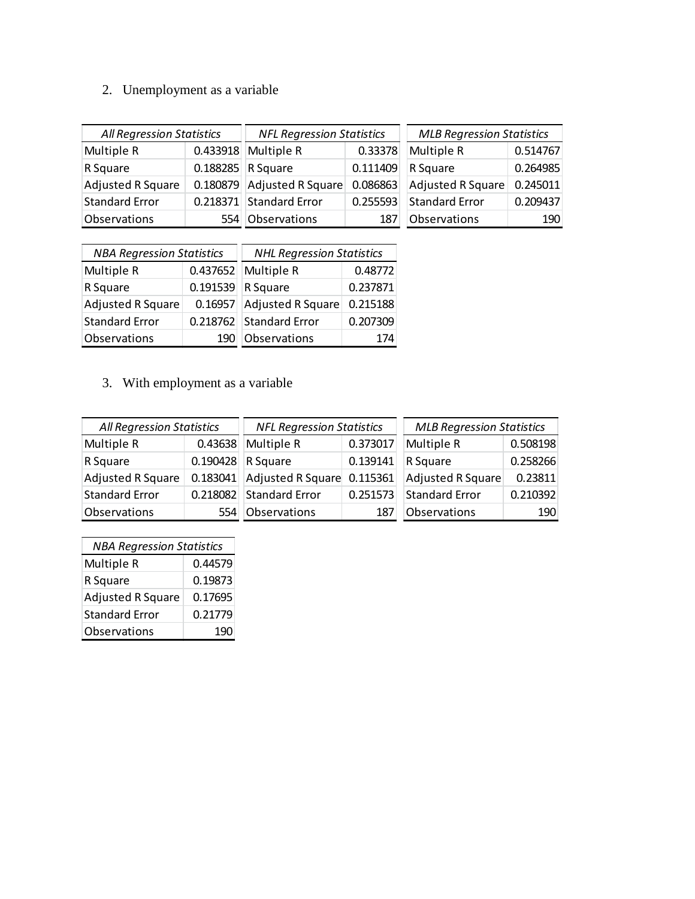# 2. Unemployment as a variable

| All Regression Statistics |          | <b>NFL Regression Statistics</b> |          | <b>MLB Regression Statistics</b> |          |
|---------------------------|----------|----------------------------------|----------|----------------------------------|----------|
| Multiple R                | 0.433918 | Multiple R                       | 0.33378  | Multiple R                       | 0.514767 |
| R Square                  | 0.188285 | R Square                         | 0.111409 | R Square                         | 0.264985 |
| <b>Adjusted R Square</b>  |          | 0.180879 Adjusted R Square       | 0.086863 | Adjusted R Square                | 0.245011 |
| <b>Standard Error</b>     |          | 0.218371 Standard Error          | 0.255593 | <b>Standard Error</b>            | 0.209437 |
| Observations              |          | Observations                     | 187      | Observations                     | 190      |

| <b>NBA Regression Statistics</b> |          | <b>NHL Regression Statistics</b> |          |  |
|----------------------------------|----------|----------------------------------|----------|--|
| Multiple R                       | 0.437652 | Multiple R                       | 0.48772  |  |
| R Square                         | 0.191539 | R Square                         | 0.237871 |  |
| <b>Adjusted R Square</b>         | 0.16957  | <b>Adjusted R Square</b>         | 0.215188 |  |
| <b>Standard Error</b>            | 0.218762 | <b>Standard Error</b>            | 0.207309 |  |
| Observations                     |          | Observations                     | 174      |  |

# 3. With employment as a variable

| <b>All Regression Statistics</b> |          | <b>NFL Regression Statistics</b> |          | <b>MLB Regression Statistics</b> |          |
|----------------------------------|----------|----------------------------------|----------|----------------------------------|----------|
| Multiple R                       | 0.43638  | Multiple R                       | 0.373017 | Multiple R                       | 0.508198 |
| R Square                         | 0.190428 | R Square                         | 0.139141 | R Square                         | 0.258266 |
| Adjusted R Square                | 0.183041 | Adjusted R Square                | 0.115361 | Adjusted R Square                | 0.23811  |
| <b>Standard Error</b>            | 0.218082 | <b>Standard Error</b>            | 0.251573 | <b>Standard Error</b>            | 0.210392 |
| Observations                     |          | Observations                     |          | Observations                     | 190      |

| <b>NBA Regression Statistics</b> |         |  |
|----------------------------------|---------|--|
| Multiple R                       | 0.44579 |  |
| R Square                         | 0.19873 |  |
| <b>Adjusted R Square</b>         | 0.17695 |  |
| <b>Standard Error</b>            | 0.21779 |  |
| Observations                     | 190     |  |